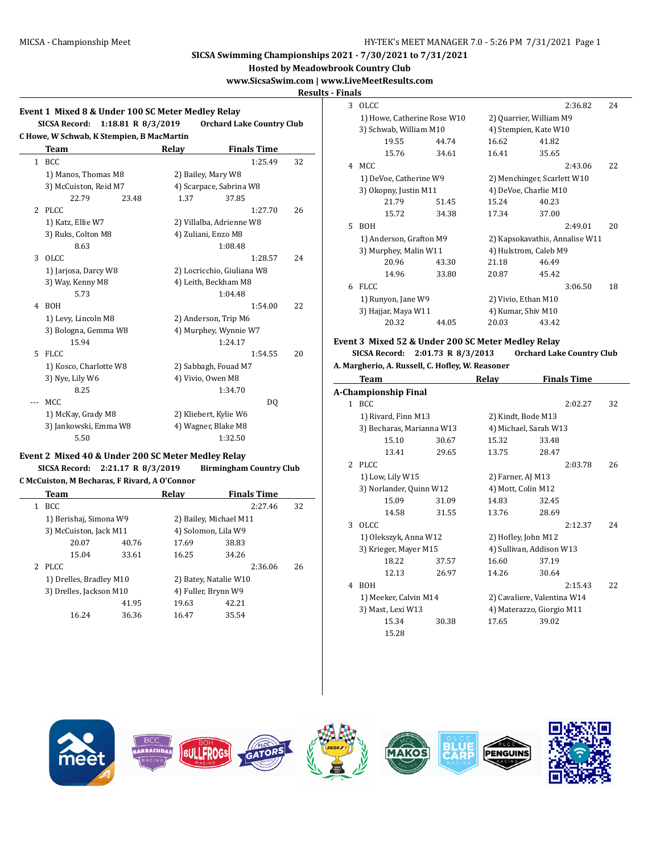**Hosted by Meadowbrook Country Club**

# **www.SicsaSwim.com | www.LiveMeetResults.com**

l.

**Results - Finals**

|   | SICSA Record: 1:18.81 R 8/3/2019<br>C Howe, W Schwab, K Stempien, B MacMartin |                      | <b>Orchard Lake Country Club</b> |    |  |
|---|-------------------------------------------------------------------------------|----------------------|----------------------------------|----|--|
|   | <b>Team</b>                                                                   | Relay                | <b>Finals Time</b>               |    |  |
|   | 1 BCC                                                                         |                      | 1:25.49                          | 32 |  |
|   | 1) Manos, Thomas M8                                                           |                      | 2) Bailey, Mary W8               |    |  |
|   | 3) McCuiston, Reid M7                                                         |                      | 4) Scarpace, Sabrina W8          |    |  |
|   | 22.79<br>23.48                                                                | 1.37                 | 37.85                            |    |  |
|   | 2 PLCC                                                                        |                      | 1:27.70                          | 26 |  |
|   | 1) Katz, Ellie W7                                                             |                      | 2) Villalba, Adrienne W8         |    |  |
|   | 3) Ruks, Colton M8                                                            |                      | 4) Zuliani, Enzo M8              |    |  |
|   | 8.63                                                                          |                      | 1:08.48                          |    |  |
| 3 | OLCC.                                                                         |                      | 1:28.57                          | 24 |  |
|   | 1) Jarjosa, Darcy W8                                                          |                      | 2) Locricchio, Giuliana W8       |    |  |
|   | 3) Way, Kenny M8                                                              | 4) Leith, Beckham M8 |                                  |    |  |
|   | 5.73                                                                          |                      | 1:04.48                          |    |  |
| 4 | <b>BOH</b>                                                                    |                      | 1:54.00                          | 22 |  |
|   | 1) Levy, Lincoln M8                                                           | 2) Anderson, Trip M6 |                                  |    |  |
|   | 3) Bologna, Gemma W8                                                          |                      | 4) Murphey, Wynnie W7            |    |  |
|   | 15.94                                                                         |                      | 1:24.17                          |    |  |
| 5 | <b>FLCC</b>                                                                   |                      | 1:54.55                          | 20 |  |
|   | 1) Kosco, Charlotte W8                                                        |                      | 2) Sabbagh, Fouad M7             |    |  |
|   | 3) Nye, Lily W6                                                               |                      | 4) Vivio, Owen M8                |    |  |
|   | 8.25                                                                          |                      | 1:34.70                          |    |  |
|   | MCC.                                                                          |                      | DO.                              |    |  |
|   | 1) McKay, Grady M8                                                            |                      | 2) Kliebert, Kylie W6            |    |  |
|   | 3) Jankowski, Emma W8                                                         |                      | 4) Wagner, Blake M8              |    |  |
|   | 5.50                                                                          |                      | 1:32.50                          |    |  |

# **Event 2 Mixed 40 & Under 200 SC Meter Medley Relay**

**SICSA Record: 2:21.17 R 8/3/2019 Birmingham Country Club C McCuiston, M Becharas, F Rivard, A O'Connor**

|   | Team                    |       | Relav                  | <b>Finals Time</b> |    |
|---|-------------------------|-------|------------------------|--------------------|----|
| 1 | <b>BCC</b>              |       |                        | 2:27.46            | 32 |
|   | 1) Berishaj, Simona W9  |       | 2) Bailey, Michael M11 |                    |    |
|   | 3) McCuiston, Jack M11  |       | 4) Solomon, Lila W9    |                    |    |
|   | 20.07                   | 40.76 | 17.69                  | 38.83              |    |
|   | 15.04                   | 33.61 | 16.25                  | 34.26              |    |
|   | 2 PLCC                  |       |                        | 2:36.06            | 26 |
|   | 1) Drelles, Bradley M10 |       | 2) Batey, Natalie W10  |                    |    |
|   | 3) Drelles, Jackson M10 |       | 4) Fuller, Brynn W9    |                    |    |
|   |                         | 41.95 | 19.63                  | 42.21              |    |
|   | 16.24                   | 36.36 | 16.47                  | 35.54              |    |
|   |                         |       |                        |                    |    |

| uais |                             |       |                     |                                |         |    |  |  |
|------|-----------------------------|-------|---------------------|--------------------------------|---------|----|--|--|
|      | 3 OLCC                      |       |                     |                                | 2:36.82 | 24 |  |  |
|      | 1) Howe, Catherine Rose W10 |       |                     | 2) Quarrier, William M9        |         |    |  |  |
|      | 3) Schwab, William M10      |       |                     | 4) Stempien, Kate W10          |         |    |  |  |
|      | 19.55                       | 44.74 | 16.62               | 41.82                          |         |    |  |  |
|      | 15.76                       | 34.61 | 16.41               | 35.65                          |         |    |  |  |
| 4    | MCC.                        |       |                     |                                | 2:43.06 | 22 |  |  |
|      | 1) DeVoe, Catherine W9      |       |                     | 2) Menchinger, Scarlett W10    |         |    |  |  |
|      | 3) Okopny, Justin M11       |       |                     | 4) DeVoe, Charlie M10          |         |    |  |  |
|      | 21.79                       | 51.45 | 15.24               | 40.23                          |         |    |  |  |
|      | 15.72                       | 34.38 | 17.34               | 37.00                          |         |    |  |  |
| 5.   | <b>ROH</b>                  |       |                     |                                | 2:49.01 | 20 |  |  |
|      | 1) Anderson, Grafton M9     |       |                     | 2) Kapsokavathis, Annalise W11 |         |    |  |  |
|      | 3) Murphey, Malin W11       |       |                     | 4) Hulstrom, Caleb M9          |         |    |  |  |
|      | 20.96                       | 43.30 | 21.18               | 46.49                          |         |    |  |  |
|      | 14.96                       | 33.80 | 20.87               | 45.42                          |         |    |  |  |
| 6    | <b>FLCC</b>                 |       |                     |                                | 3:06.50 | 18 |  |  |
|      | 1) Runyon, Jane W9          |       | 2) Vivio, Ethan M10 |                                |         |    |  |  |
|      | 3) Hajjar, Maya W11         |       | 4) Kumar, Shiv M10  |                                |         |    |  |  |
|      | 20.32                       | 44.05 | 20.03               | 43.42                          |         |    |  |  |

### **Event 3 Mixed 52 & Under 200 SC Meter Medley Relay SICSA Record: 2:01.73 R 8/3/2013 Orchard Lake Country Club**

**A. Margherio, A. Russell, C. Hofley, W. Reasoner**

|               | Team                      |       | Relay                    | <b>Finals Time</b>          |    |  |
|---------------|---------------------------|-------|--------------------------|-----------------------------|----|--|
|               | A-Championship Final      |       |                          |                             |    |  |
|               | 1 BCC                     |       |                          | 2:02.27                     | 32 |  |
|               | 1) Rivard, Finn M13       |       | 2) Kindt, Bode M13       |                             |    |  |
|               | 3) Becharas, Marianna W13 |       | 4) Michael, Sarah W13    |                             |    |  |
|               | 15.10                     | 30.67 | 15.32                    | 33.48                       |    |  |
|               | 13.41                     | 29.65 | 13.75                    | 28.47                       |    |  |
| $\mathcal{L}$ | PLCC                      |       |                          | 2:03.78                     | 26 |  |
|               | 1) Low, Lily W15          |       | 2) Farner, AJ M13        |                             |    |  |
|               | 3) Norlander, Quinn W12   |       | 4) Mott, Colin M12       |                             |    |  |
|               | 15.09                     | 31.09 | 14.83                    | 32.45                       |    |  |
|               | 14.58                     | 31.55 | 13.76                    | 28.69                       |    |  |
| 3             | OLCC.                     |       |                          | 2:12.37                     | 24 |  |
|               | 1) Olekszyk, Anna W12     |       | 2) Hofley, John M12      |                             |    |  |
|               | 3) Krieger, Mayer M15     |       | 4) Sullivan, Addison W13 |                             |    |  |
|               | 18.22                     | 37.57 | 16.60                    | 37.19                       |    |  |
|               | 12.13                     | 26.97 | 14.26                    | 30.64                       |    |  |
| 4             | <b>BOH</b>                |       |                          | 2:15.43                     | 22 |  |
|               | 1) Meeker, Calvin M14     |       |                          | 2) Cavaliere, Valentina W14 |    |  |
|               | 3) Mast, Lexi W13         |       |                          | 4) Materazzo, Giorgio M11   |    |  |
|               | 15.34                     | 30.38 | 17.65                    | 39.02                       |    |  |
|               | 15.28                     |       |                          |                             |    |  |

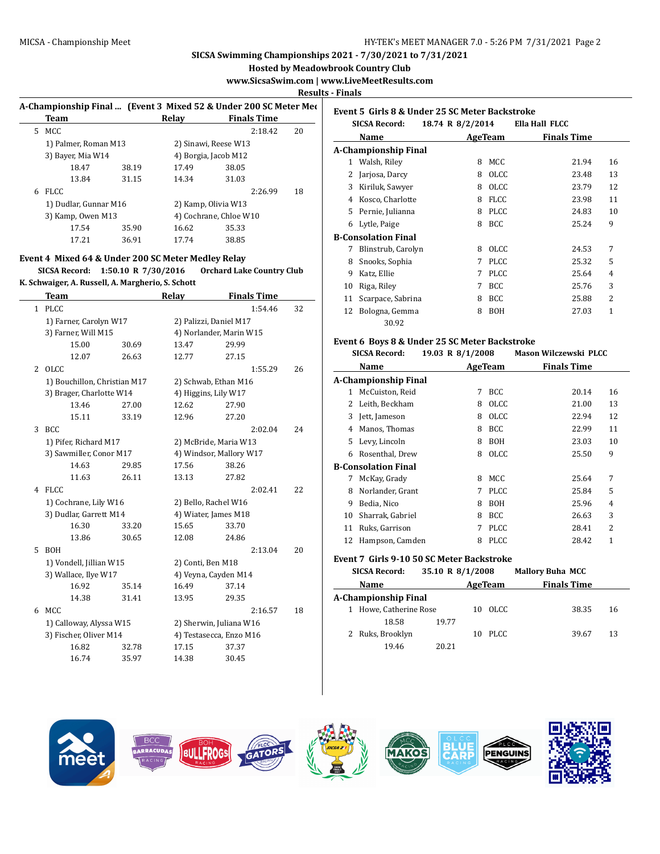**Hosted by Meadowbrook Country Club**

**www.SicsaSwim.com | www.LiveMeetResults.com**

**Results - Finals**

|    | <b>Team</b>           |       | Relav | A-Championship Final  (Event 3 Mixed 52 & Under 200 SC Meter Mec<br><b>Finals Time</b> |    |
|----|-----------------------|-------|-------|----------------------------------------------------------------------------------------|----|
| 5. | MCC                   |       |       | 2:18.42                                                                                | 20 |
|    | 1) Palmer, Roman M13  |       |       | 2) Sinawi, Reese W13                                                                   |    |
|    | 3) Bayer, Mia W14     |       |       | 4) Borgia, Jacob M12                                                                   |    |
|    | 18.47                 | 38.19 | 17.49 | 38.05                                                                                  |    |
|    | 13.84                 | 31.15 | 14.34 | 31.03                                                                                  |    |
| 6  | <b>FLCC</b>           |       |       | 2:26.99                                                                                | 18 |
|    | 1) Dudlar, Gunnar M16 |       |       | 2) Kamp, Olivia W13                                                                    |    |
|    | 3) Kamp, Owen M13     |       |       | 4) Cochrane, Chloe W10                                                                 |    |
|    | 17.54                 | 35.90 | 16.62 | 35.33                                                                                  |    |
|    | 17.21                 | 36.91 | 17.74 | 38.85                                                                                  |    |
|    |                       |       |       |                                                                                        |    |

### **Event 4 Mixed 64 & Under 200 SC Meter Medley Relay**

**SICSA Record: 1:50.10 R 7/30/2016 Orchard Lake Country Club K. Schwaiger, A. Russell, A. Margherio, S. Schott**

| Team                        |                      |                                                                                                                                                                                                                                                                           |       |                                           |                                                                                                                                                                                                                                                         |
|-----------------------------|----------------------|---------------------------------------------------------------------------------------------------------------------------------------------------------------------------------------------------------------------------------------------------------------------------|-------|-------------------------------------------|---------------------------------------------------------------------------------------------------------------------------------------------------------------------------------------------------------------------------------------------------------|
| <b>PLCC</b><br>$\mathbf{1}$ |                      |                                                                                                                                                                                                                                                                           |       | 1:54.46                                   | 32                                                                                                                                                                                                                                                      |
|                             |                      | 2) Palizzi, Daniel M17                                                                                                                                                                                                                                                    |       |                                           |                                                                                                                                                                                                                                                         |
| 3) Farner, Will M15         |                      |                                                                                                                                                                                                                                                                           |       |                                           |                                                                                                                                                                                                                                                         |
| 15.00                       | 30.69                | 13.47                                                                                                                                                                                                                                                                     | 29.99 |                                           |                                                                                                                                                                                                                                                         |
| 12.07                       | 26.63                | 12.77                                                                                                                                                                                                                                                                     | 27.15 |                                           |                                                                                                                                                                                                                                                         |
| <b>OLCC</b>                 |                      |                                                                                                                                                                                                                                                                           |       | 1:55.29                                   | 26                                                                                                                                                                                                                                                      |
|                             |                      |                                                                                                                                                                                                                                                                           |       |                                           |                                                                                                                                                                                                                                                         |
|                             |                      |                                                                                                                                                                                                                                                                           |       |                                           |                                                                                                                                                                                                                                                         |
| 13.46                       | 27.00                | 12.62                                                                                                                                                                                                                                                                     | 27.90 |                                           |                                                                                                                                                                                                                                                         |
| 15.11                       | 33.19                | 12.96                                                                                                                                                                                                                                                                     | 27.20 |                                           |                                                                                                                                                                                                                                                         |
| <b>BCC</b>                  |                      |                                                                                                                                                                                                                                                                           |       | 2:02.04                                   | 24                                                                                                                                                                                                                                                      |
|                             |                      |                                                                                                                                                                                                                                                                           |       |                                           |                                                                                                                                                                                                                                                         |
|                             |                      |                                                                                                                                                                                                                                                                           |       |                                           |                                                                                                                                                                                                                                                         |
| 14.63                       | 29.85                | 17.56                                                                                                                                                                                                                                                                     | 38.26 |                                           |                                                                                                                                                                                                                                                         |
| 11.63                       | 26.11                | 13.13                                                                                                                                                                                                                                                                     | 27.82 |                                           |                                                                                                                                                                                                                                                         |
| <b>FLCC</b>                 |                      |                                                                                                                                                                                                                                                                           |       | 2:02.41                                   | 22                                                                                                                                                                                                                                                      |
|                             |                      |                                                                                                                                                                                                                                                                           |       |                                           |                                                                                                                                                                                                                                                         |
|                             |                      |                                                                                                                                                                                                                                                                           |       |                                           |                                                                                                                                                                                                                                                         |
| 16.30                       | 33.20                | 15.65                                                                                                                                                                                                                                                                     | 33.70 |                                           |                                                                                                                                                                                                                                                         |
| 13.86                       | 30.65                | 12.08                                                                                                                                                                                                                                                                     | 24.86 |                                           |                                                                                                                                                                                                                                                         |
| <b>BOH</b>                  |                      |                                                                                                                                                                                                                                                                           |       | 2:13.04                                   | 20                                                                                                                                                                                                                                                      |
|                             |                      |                                                                                                                                                                                                                                                                           |       |                                           |                                                                                                                                                                                                                                                         |
|                             |                      |                                                                                                                                                                                                                                                                           |       |                                           |                                                                                                                                                                                                                                                         |
| 16.92                       | 35.14                | 16.49                                                                                                                                                                                                                                                                     | 37.14 |                                           |                                                                                                                                                                                                                                                         |
| 14.38                       | 31.41                | 13.95                                                                                                                                                                                                                                                                     | 29.35 |                                           |                                                                                                                                                                                                                                                         |
| <b>MCC</b>                  |                      |                                                                                                                                                                                                                                                                           |       | 2:16.57                                   | 18                                                                                                                                                                                                                                                      |
|                             |                      |                                                                                                                                                                                                                                                                           |       |                                           |                                                                                                                                                                                                                                                         |
|                             |                      |                                                                                                                                                                                                                                                                           |       |                                           |                                                                                                                                                                                                                                                         |
| 16.82                       | 32.78                | 17.15                                                                                                                                                                                                                                                                     | 37.37 |                                           |                                                                                                                                                                                                                                                         |
| 16.74                       | 35.97                | 14.38                                                                                                                                                                                                                                                                     | 30.45 |                                           |                                                                                                                                                                                                                                                         |
|                             | 3) Wallace, Ilye W17 | 1) Farner, Carolyn W17<br>1) Bouchillon, Christian M17<br>3) Brager, Charlotte W14<br>1) Pifer, Richard M17<br>3) Sawmiller, Conor M17<br>1) Cochrane, Lily W16<br>3) Dudlar, Garrett M14<br>1) Vondell, Jillian W15<br>1) Calloway, Alyssa W15<br>3) Fischer, Oliver M14 | Relay | 4) Higgins, Lily W17<br>2) Conti, Ben M18 | <b>Finals Time</b><br>4) Norlander, Marin W15<br>2) Schwab, Ethan M16<br>2) McBride, Maria W13<br>4) Windsor, Mallory W17<br>2) Bello, Rachel W16<br>4) Wiater, James M18<br>4) Veyna, Cayden M14<br>2) Sherwin, Juliana W16<br>4) Testasecca, Enzo M16 |

| Event 5 Girls 8 & Under 25 SC Meter Backstroke<br>Ella Hall FLCC<br><b>SICSA Record:</b><br>18.74 R 8/2/2014 |                             |   |             |                    |                          |  |  |  |
|--------------------------------------------------------------------------------------------------------------|-----------------------------|---|-------------|--------------------|--------------------------|--|--|--|
|                                                                                                              | Name                        |   | AgeTeam     | <b>Finals Time</b> |                          |  |  |  |
|                                                                                                              | <b>A-Championship Final</b> |   |             |                    |                          |  |  |  |
| 1                                                                                                            | Walsh, Riley                | 8 | MCC.        | 21.94              | 16                       |  |  |  |
| 2                                                                                                            | Jarjosa, Darcy              | 8 | OLCC.       | 23.48              | 13                       |  |  |  |
| 3                                                                                                            | Kiriluk, Sawyer             | 8 | <b>OLCC</b> | 23.79              | 12                       |  |  |  |
| 4                                                                                                            | Kosco, Charlotte            | 8 | <b>FLCC</b> | 23.98              | 11                       |  |  |  |
| 5.                                                                                                           | Pernie, Julianna            | 8 | PLCC.       | 24.83              | 10                       |  |  |  |
| 6                                                                                                            | Lytle, Paige                | 8 | BCC.        | 25.24              | 9                        |  |  |  |
|                                                                                                              | <b>B-Consolation Final</b>  |   |             |                    |                          |  |  |  |
| 7                                                                                                            | Blinstrub, Carolyn          | 8 | OLCC.       | 24.53              | 7                        |  |  |  |
| 8                                                                                                            | Snooks, Sophia              | 7 | <b>PLCC</b> | 25.32              | 5                        |  |  |  |
| 9                                                                                                            | Katz, Ellie                 | 7 | <b>PLCC</b> | 25.64              | 4                        |  |  |  |
| 10                                                                                                           | Riga, Riley                 | 7 | <b>BCC</b>  | 25.76              | 3                        |  |  |  |
| 11                                                                                                           | Scarpace, Sabrina           | 8 | <b>BCC</b>  | 25.88              | $\overline{\mathcal{L}}$ |  |  |  |
| 12                                                                                                           | Bologna, Gemma              | 8 | <b>BOH</b>  | 27.03              | 1                        |  |  |  |
|                                                                                                              | 30.92                       |   |             |                    |                          |  |  |  |

### **Event 6 Boys 8 & Under 25 SC Meter Backstroke**

| <b>SICSA Record:</b> |                             | 19.03 R 8/1/2008 |             | Mason Wilczewski PLCC |    |  |
|----------------------|-----------------------------|------------------|-------------|-----------------------|----|--|
|                      | Name                        | AgeTeam          |             | <b>Finals Time</b>    |    |  |
|                      | <b>A-Championship Final</b> |                  |             |                       |    |  |
| 1                    | McCuiston, Reid             | 7                | <b>BCC</b>  | 20.14                 | 16 |  |
| 2                    | Leith, Beckham              | 8                | <b>OLCC</b> | 21.00                 | 13 |  |
| 3                    | Jett, Jameson               | 8                | <b>OLCC</b> | 22.94                 | 12 |  |
| 4                    | Manos, Thomas               | 8                | <b>BCC</b>  | 22.99                 | 11 |  |
| 5                    | Levy, Lincoln               | 8                | BOH         | 23.03                 | 10 |  |
| 6                    | Rosenthal, Drew             | 8                | <b>OLCC</b> | 25.50                 | 9  |  |
|                      | <b>B-Consolation Final</b>  |                  |             |                       |    |  |
| 7                    | McKay, Grady                | 8                | MCC         | 25.64                 | 7  |  |
| 8                    | Norlander, Grant            | 7                | <b>PLCC</b> | 25.84                 | 5  |  |
| 9                    | Bedia, Nico                 | 8                | <b>BOH</b>  | 25.96                 | 4  |  |
| 10                   | Sharrak, Gabriel            | 8                | <b>BCC</b>  | 26.63                 | 3  |  |
| 11                   | Ruks, Garrison              | 7                | <b>PLCC</b> | 28.41                 | 2  |  |
| 12                   | Hampson, Camden             | 8                | <b>PLCC</b> | 28.42                 | 1  |  |

#### **Event 7 Girls 9-10 50 SC Meter Backstroke**

| <b>SICSA Record:</b> | 35.10 R 8/1/2008 |    | <b>Mallory Buha MCC</b> |  |       |    |
|----------------------|------------------|----|-------------------------|--|-------|----|
| Name                 | AgeTeam          |    | <b>Finals Time</b>      |  |       |    |
| A-Championship Final |                  |    |                         |  |       |    |
| Howe, Catherine Rose |                  | 10 | OLCC.                   |  | 38.35 | 16 |
| 18.58                | 19.77            |    |                         |  |       |    |
| 2 Ruks, Brooklyn     |                  | 10 | PLCC.                   |  | 39.67 | 13 |
| 19.46                | 20.21            |    |                         |  |       |    |

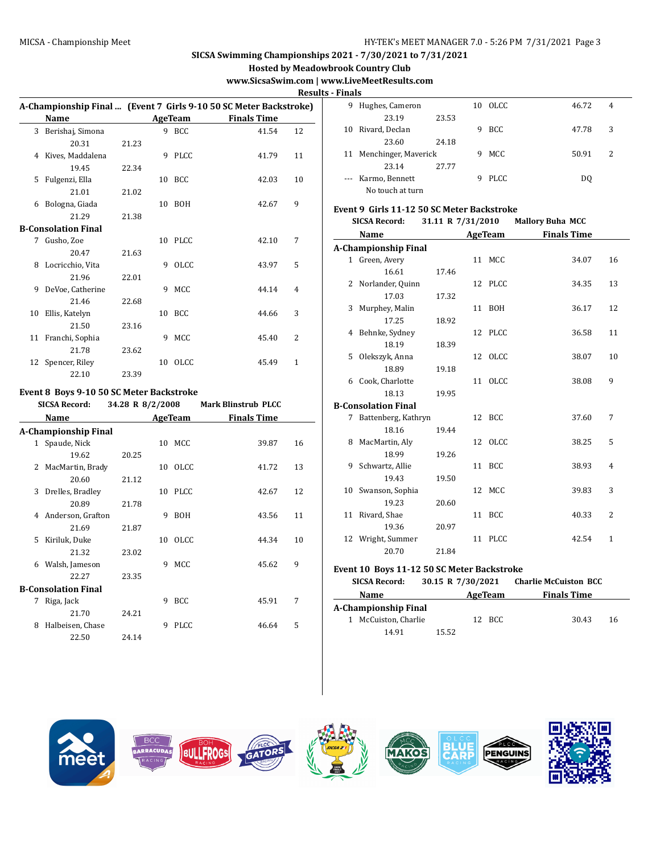**Hosted by Meadowbrook Country Club**

# **www.SicsaSwim.com | www.LiveMeetResults.com**

**Results - Finals**

|    |                            |       |    |             |                                                                   | пеэі           |
|----|----------------------------|-------|----|-------------|-------------------------------------------------------------------|----------------|
|    |                            |       |    |             | A-Championship Final  (Event 7 Girls 9-10 50 SC Meter Backstroke) |                |
|    | Name                       |       |    | AgeTeam     | <b>Finals Time</b>                                                |                |
| 3  | Berishaj, Simona           |       |    | 9 BCC       | 41.54                                                             | 12             |
|    | 20.31                      | 21.23 |    |             |                                                                   |                |
| 4  | Kives, Maddalena           |       |    | 9 PLCC      | 41.79                                                             | 11             |
|    | 19.45                      | 22.34 |    |             |                                                                   |                |
| 5  | Fulgenzi, Ella             |       | 10 | BCC         | 42.03                                                             | 10             |
|    | 21.01                      | 21.02 |    |             |                                                                   |                |
| 6  | Bologna, Giada             |       |    | 10 BOH      | 42.67                                                             | 9              |
|    | 21.29                      | 21.38 |    |             |                                                                   |                |
|    | <b>B-Consolation Final</b> |       |    |             |                                                                   |                |
| 7  | Gusho, Zoe                 |       |    | 10 PLCC     | 42.10                                                             | 7              |
|    | 20.47                      | 21.63 |    |             |                                                                   |                |
| 8  | Locricchio, Vita           |       | 9  | OLCC.       | 43.97                                                             | 5              |
|    | 21.96                      | 22.01 |    |             |                                                                   |                |
| 9  | DeVoe, Catherine           |       | 9  | MCC         | 44.14                                                             | 4              |
|    | 21.46                      | 22.68 |    |             |                                                                   |                |
| 10 | Ellis, Katelyn             |       |    | 10 BCC      | 44.66                                                             | 3              |
|    | 21.50                      | 23.16 |    |             |                                                                   |                |
|    | 11 Franchi, Sophia         |       | 9  | <b>MCC</b>  | 45.40                                                             | $\overline{2}$ |
|    | 21.78                      | 23.62 |    |             |                                                                   |                |
|    | 12 Spencer, Riley          |       | 10 | <b>OLCC</b> | 45.49                                                             | $\mathbf{1}$   |
|    | 22.10                      | 23.39 |    |             |                                                                   |                |

### **Event 8 Boys 9-10 50 SC Meter Backstroke**

#### **SICSA Record: 34.28 R 8/2/2008 Mark Blinstrub PLCC**

|   | Name                        |       |    | <b>AgeTeam</b> | <b>Finals Time</b> |    |
|---|-----------------------------|-------|----|----------------|--------------------|----|
|   | <b>A-Championship Final</b> |       |    |                |                    |    |
| 1 | Spaude, Nick                |       |    | 10 MCC         | 39.87              | 16 |
|   | 19.62                       | 20.25 |    |                |                    |    |
| 2 | MacMartin, Brady            |       | 10 | OLCC           | 41.72              | 13 |
|   | 20.60                       | 21.12 |    |                |                    |    |
| 3 | Drelles, Bradley            |       | 10 | PLCC.          | 42.67              | 12 |
|   | 20.89                       | 21.78 |    |                |                    |    |
| 4 | Anderson, Grafton           |       | 9  | <b>BOH</b>     | 43.56              | 11 |
|   | 21.69                       | 21.87 |    |                |                    |    |
| 5 | Kiriluk, Duke               |       | 10 | <b>OLCC</b>    | 44.34              | 10 |
|   | 21.32                       | 23.02 |    |                |                    |    |
| 6 | Walsh, Jameson              |       | 9  | MCC            | 45.62              | 9  |
|   | 22.27                       | 23.35 |    |                |                    |    |
|   | <b>B-Consolation Final</b>  |       |    |                |                    |    |
| 7 | Riga, Jack                  |       | 9  | <b>BCC</b>     | 45.91              | 7  |
|   | 21.70                       | 24.21 |    |                |                    |    |
| 8 | Halbeisen, Chase            |       | 9  | <b>PLCC</b>    | 46.64              | 5  |
|   | 22.50                       | 24.14 |    |                |                    |    |

| 9  | Hughes, Cameron         |       |    | 10 OLCC     | 46.72 | 4 |  |
|----|-------------------------|-------|----|-------------|-------|---|--|
|    | 23.19                   | 23.53 |    |             |       |   |  |
| 10 | Rivard, Declan          |       |    | <b>BCC</b>  | 47.78 | 3 |  |
|    | 23.60                   | 24.18 |    |             |       |   |  |
|    | 11 Menchinger, Maverick |       | 9. | MCC         | 50.91 | 2 |  |
|    | 23.14                   | 27.77 |    |             |       |   |  |
|    | --- Karmo, Bennett      |       |    | <b>PLCC</b> | DO.   |   |  |
|    | No touch at turn        |       |    |             |       |   |  |

### **Event 9 Girls 11-12 50 SC Meter Backstroke**

|  |  | <b>SICSA Record:</b> |  | 31.11 R 7/31/2010 | <b>Mallory Buha MCC</b> |
|--|--|----------------------|--|-------------------|-------------------------|
|--|--|----------------------|--|-------------------|-------------------------|

| Name                       |       | <b>AgeTeam</b> | <b>Finals Time</b> |                |
|----------------------------|-------|----------------|--------------------|----------------|
| A-Championship Final       |       |                |                    |                |
| 1 Green, Avery             |       | 11 MCC         | 34.07              | 16             |
| 16.61                      | 17.46 |                |                    |                |
| 2 Norlander, Quinn         |       | 12 PLCC        | 34.35              | 13             |
| 17.03                      | 17.32 |                |                    |                |
| 3 Murphey, Malin           |       | 11 BOH         | 36.17              | 12             |
| 17.25                      | 18.92 |                |                    |                |
| 4 Behnke, Sydney           |       | 12 PLCC        | 36.58              | 11             |
| 18.19                      | 18.39 |                |                    |                |
| 5 Olekszyk, Anna           |       | 12 OLCC        | 38.07              | 10             |
| 18.89                      | 19.18 |                |                    |                |
| 6 Cook, Charlotte          |       | 11 OLCC        | 38.08              | 9              |
| 18.13                      | 19.95 |                |                    |                |
| <b>B-Consolation Final</b> |       |                |                    |                |
| 7 Battenberg, Kathryn      |       | 12 BCC         | 37.60              | 7              |
| 18.16                      | 19.44 |                |                    |                |
| 8 MacMartin, Aly           |       | 12 OLCC        | 38.25              | 5              |
| 18.99                      | 19.26 |                |                    |                |
| 9 Schwartz, Allie          |       | 11 BCC         | 38.93              | $\overline{4}$ |
| 19.43                      | 19.50 |                |                    |                |
| 10 Swanson, Sophia         |       | 12 MCC         | 39.83              | 3              |
| 19.23                      | 20.60 |                |                    |                |
| 11 Rivard, Shae            |       | 11 BCC         | 40.33              | 2              |
| 19.36                      | 20.97 |                |                    |                |
| 12 Wright, Summer          |       | 11 PLCC        | 42.54              | 1              |
| 20.70                      | 21.84 |                |                    |                |

### **Event 10 Boys 11-12 50 SC Meter Backstroke**

| <b>SICSA Record:</b> | 30.15 R 7/30/2021 | <b>Charlie McCuiston BCC</b> |    |
|----------------------|-------------------|------------------------------|----|
| Name                 | AgeTeam           | <b>Finals Time</b>           |    |
| A-Championship Final |                   |                              |    |
| 1 McCuiston, Charlie | 12 BCC            | 30.43                        | 16 |
| 14.91                | 15.52             |                              |    |

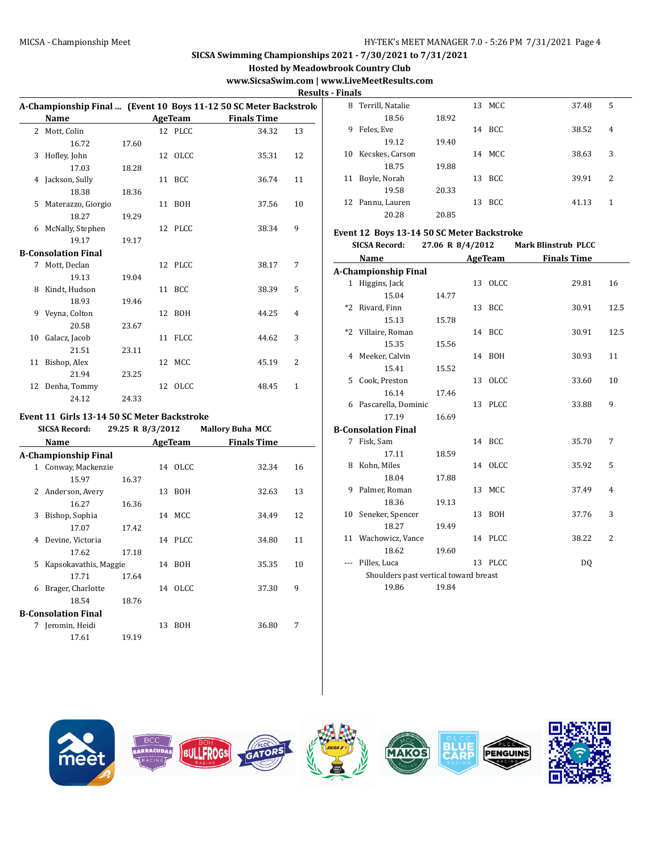**Hosted by Meadowbrook Country Club**

# **www.SicsaSwim.com | www.LiveMeetResults.com**

**Results - Finals**

|    |                            |       |                             | A-Championship Final  (Event 10 Boys 11-12 50 SC Meter Backstrok |                |
|----|----------------------------|-------|-----------------------------|------------------------------------------------------------------|----------------|
|    | Name                       |       | <b>Example 2018 AgeTeam</b> | <b>Finals Time</b>                                               |                |
|    | 2 Mott, Colin              |       | 12 PLCC                     | 34.32                                                            | 13             |
|    | 16.72                      | 17.60 |                             |                                                                  |                |
| 3  | Hofley, John               |       | 12 OLCC                     | 35.31                                                            | 12             |
|    | 17.03                      | 18.28 |                             |                                                                  |                |
|    | 4 Jackson, Sully           |       | 11 BCC                      | 36.74                                                            | 11             |
|    | 18.38                      | 18.36 |                             |                                                                  |                |
| 5  | Materazzo, Giorgio         |       | 11 BOH                      | 37.56                                                            | 10             |
|    | 18.27                      | 19.29 |                             |                                                                  |                |
|    | 6 McNally, Stephen         |       | 12 PLCC                     | 38.34                                                            | 9              |
|    | 19.17                      | 19.17 |                             |                                                                  |                |
|    | <b>B-Consolation Final</b> |       |                             |                                                                  |                |
| 7  | Mott, Declan               |       | 12 PLCC                     | 38.17                                                            | 7              |
|    | 19.13                      | 19.04 |                             |                                                                  |                |
| 8  | Kindt, Hudson              |       | 11 BCC                      | 38.39                                                            | 5              |
|    | 18.93                      | 19.46 |                             |                                                                  |                |
| 9  | Veyna, Colton              |       | 12 BOH                      | 44.25                                                            | 4              |
|    | 20.58                      | 23.67 |                             |                                                                  |                |
| 10 | Galacz, Jacob              |       | 11 FLCC                     | 44.62                                                            | 3              |
|    | 21.51                      | 23.11 |                             |                                                                  |                |
|    | 11 Bishop, Alex            |       | 12 MCC                      | 45.19                                                            | $\overline{2}$ |
|    | 21.94                      | 23.25 |                             |                                                                  |                |
|    | 12 Denha, Tommy            |       | 12 OLCC                     | 48.45                                                            | $\mathbf{1}$   |
|    | 24.12                      | 24.33 |                             |                                                                  |                |
|    |                            |       |                             |                                                                  |                |

# **Event 11 Girls 13-14 50 SC Meter Backstroke**

|   | <b>SICSA Record:</b>        | 29.25 R 8/3/2012 |    |            | <b>Mallory Buha MCC</b> |    |
|---|-----------------------------|------------------|----|------------|-------------------------|----|
|   | Name                        |                  |    | AgeTeam    | <b>Finals Time</b>      |    |
|   | <b>A-Championship Final</b> |                  |    |            |                         |    |
|   | 1 Conway, Mackenzie         |                  |    | 14 OLCC    | 32.34                   | 16 |
|   | 15.97                       | 16.37            |    |            |                         |    |
| 2 | Anderson, Avery             |                  | 13 | <b>BOH</b> | 32.63                   | 13 |
|   | 16.27                       | 16.36            |    |            |                         |    |
| 3 | Bishop, Sophia              |                  |    | 14 MCC     | 34.49                   | 12 |
|   | 17.07                       | 17.42            |    |            |                         |    |
| 4 | Devine, Victoria            |                  |    | 14 PLCC    | 34.80                   | 11 |
|   | 17.62                       | 17.18            |    |            |                         |    |
| 5 | Kapsokavathis, Maggie       |                  |    | 14 BOH     | 35.35                   | 10 |
|   | 17.71                       | 17.64            |    |            |                         |    |
| 6 | Brager, Charlotte           |                  |    | 14 OLCC    | 37.30                   | 9  |
|   | 18.54                       | 18.76            |    |            |                         |    |
|   | <b>B-Consolation Final</b>  |                  |    |            |                         |    |
| 7 | Jeromin, Heidi              |                  | 13 | BOH        | 36.80                   | 7  |
|   | 17.61                       | 19.19            |    |            |                         |    |
|   |                             |                  |    |            |                         |    |

| .  |                    |       |    |            |       |                |
|----|--------------------|-------|----|------------|-------|----------------|
|    | 8 Terrill, Natalie |       |    | 13 MCC     | 37.48 | 5              |
|    | 18.56              | 18.92 |    |            |       |                |
| 9  | Feles, Eve         |       | 14 | <b>BCC</b> | 38.52 | $\overline{4}$ |
|    | 19.12              | 19.40 |    |            |       |                |
| 10 | Kecskes, Carson    |       |    | 14 MCC     | 38.63 | 3              |
|    | 18.75              | 19.88 |    |            |       |                |
| 11 | Boyle, Norah       |       |    | 13 BCC     | 39.91 | 2              |
|    | 19.58              | 20.33 |    |            |       |                |
|    | 12 Pannu, Lauren   |       | 13 | <b>BCC</b> | 41.13 | 1              |
|    | 20.28              | 20.85 |    |            |       |                |

#### **Event 12 Boys 13-14 50 SC Meter Backstroke**

|         | <b>SICSA Record:</b>                  | 27.06 R 8/4/2012 |         | <b>Mark Blinstrub PLCC</b> |                |
|---------|---------------------------------------|------------------|---------|----------------------------|----------------|
|         | Name                                  |                  | AgeTeam | <b>Finals Time</b>         |                |
|         | A-Championship Final                  |                  |         |                            |                |
|         | 1 Higgins, Jack                       |                  | 13 OLCC | 29.81                      | 16             |
|         | 15.04                                 | 14.77            |         |                            |                |
|         | *2 Rivard, Finn                       |                  | 13 BCC  | 30.91                      | 12.5           |
|         | 15.13                                 | 15.78            |         |                            |                |
|         | *2 Villaire, Roman                    |                  | 14 BCC  | 30.91                      | 12.5           |
|         | 15.35                                 | 15.56            |         |                            |                |
|         | 4 Meeker, Calvin                      |                  | 14 BOH  | 30.93                      | 11             |
|         | 15.41                                 | 15.52            |         |                            |                |
|         | 5 Cook, Preston                       |                  | 13 OLCC | 33.60                      | 10             |
|         | 16.14                                 | 17.46            |         |                            |                |
|         | 6 Pascarella, Dominic                 |                  | 13 PLCC | 33.88                      | 9              |
|         | 17.19                                 | 16.69            |         |                            |                |
|         | <b>B-Consolation Final</b>            |                  |         |                            |                |
|         | 7 Fisk, Sam                           |                  | 14 BCC  | 35.70                      | 7              |
|         | 17.11                                 | 18.59            |         |                            |                |
|         | 8 Kohn, Miles                         |                  | 14 OLCC | 35.92                      | 5              |
|         | 18.04                                 | 17.88            |         |                            |                |
| 9       | Palmer, Roman                         |                  | 13 MCC  | 37.49                      | $\overline{4}$ |
|         | 18.36                                 | 19.13            |         |                            |                |
|         | 10 Seneker, Spencer                   |                  | 13 BOH  | 37.76                      | 3              |
|         | 18.27                                 | 19.49            |         |                            |                |
|         | 11 Wachowicz, Vance                   |                  | 14 PLCC | 38.22                      | 2              |
|         | 18.62                                 | 19.60            |         |                            |                |
| $- - -$ | Pilles, Luca                          |                  | 13 PLCC | DQ                         |                |
|         | Shoulders past vertical toward breast |                  |         |                            |                |
|         | 19.86                                 | 19.84            |         |                            |                |
|         |                                       |                  |         |                            |                |

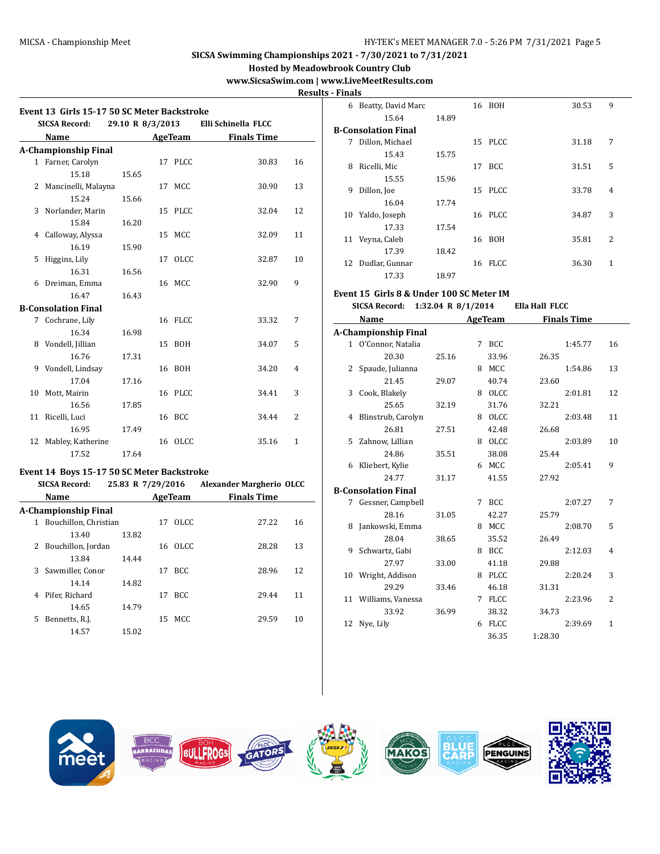**Hosted by Meadowbrook Country Club**

# **www.SicsaSwim.com | www.LiveMeetResults.com**

**Results - Finals**

| Event 13 Girls 15-17 50 SC Meter Backstroke |                   |         |                                 |    | 6 Beatty, David Marc                        |       | 16 BOH  |                | 30.53              | 9            |
|---------------------------------------------|-------------------|---------|---------------------------------|----|---------------------------------------------|-------|---------|----------------|--------------------|--------------|
| <b>SICSA Record:</b>                        | 29.10 R 8/3/2013  |         | Elli Schinella FLCC             |    | 15.64                                       | 14.89 |         |                |                    |              |
|                                             |                   |         |                                 |    | <b>B-Consolation Final</b>                  |       |         |                |                    |              |
| <b>Name</b>                                 |                   | AgeTeam | <b>Finals Time</b>              |    | 7 Dillon, Michael                           |       | 15 PLCC |                | 31.18              | 7            |
| A-Championship Final                        |                   |         |                                 |    | 15.43                                       | 15.75 |         |                |                    |              |
| 1 Farner, Carolyn                           |                   | 17 PLCC | 30.83                           | 16 | 8 Ricelli, Mic                              |       | 17 BCC  |                | 31.51              | 5            |
| 15.18                                       | 15.65             |         |                                 |    | 15.55                                       | 15.96 |         |                |                    |              |
| 2 Mancinelli, Malayna                       |                   | 17 MCC  | 30.90                           | 13 | 9 Dillon, Joe                               |       | 15 PLCC |                | 33.78              | 4            |
| 15.24                                       | 15.66             |         |                                 |    | 16.04                                       | 17.74 |         |                |                    |              |
| 3 Norlander, Marin                          |                   | 15 PLCC | 32.04                           | 12 | 10 Yaldo, Joseph                            |       | 16 PLCC |                | 34.87              | 3            |
| 15.84                                       | 16.20             |         | 32.09                           | 11 | 17.33                                       | 17.54 |         |                |                    |              |
| 4 Calloway, Alyssa                          |                   | 15 MCC  |                                 |    | 11 Veyna, Caleb                             |       | 16 BOH  |                | 35.81              | 2            |
| 16.19                                       | 15.90             |         |                                 | 10 | 17.39                                       | 18.42 |         |                |                    |              |
| 5 Higgins, Lily                             |                   | 17 OLCC | 32.87                           |    | 12 Dudlar, Gunnar                           |       | 16 FLCC |                | 36.30              | $\mathbf{1}$ |
| 16.31<br>6 Dreiman, Emma                    | 16.56             | 16 MCC  | 32.90                           | 9  | 17.33                                       | 18.97 |         |                |                    |              |
| 16.47                                       | 16.43             |         |                                 |    | Event 15 Girls 8 & Under 100 SC Meter IM    |       |         |                |                    |              |
|                                             |                   |         |                                 |    | SICSA Record: 1:32.04 R 8/1/2014            |       |         | Ella Hall FLCC |                    |              |
| <b>B-Consolation Final</b>                  |                   |         |                                 | 7  | Name                                        |       | AgeTeam |                | <b>Finals Time</b> |              |
| 7 Cochrane, Lily<br>16.34                   | 16.98             | 16 FLCC | 33.32                           |    |                                             |       |         |                |                    |              |
| 8 Vondell, Jillian                          |                   | 15 BOH  |                                 | 5  | A-Championship Final<br>1 O'Connor, Natalia |       | 7 BCC   |                |                    | 16           |
| 16.76                                       | 17.31             |         | 34.07                           |    | 20.30                                       | 25.16 | 33.96   | 26.35          | 1:45.77            |              |
| 9 Vondell, Lindsay                          |                   | 16 BOH  |                                 | 4  | 2 Spaude, Julianna                          |       | 8 MCC   |                | 1:54.86            | 13           |
| 17.04                                       | 17.16             |         | 34.20                           |    | 21.45                                       | 29.07 | 40.74   | 23.60          |                    |              |
| 10 Mott, Mairin                             |                   | 16 PLCC | 34.41                           | 3  | 3 Cook, Blakely                             |       | 8 OLCC  |                | 2:01.81            | 12           |
| 16.56                                       | 17.85             |         |                                 |    | 25.65                                       | 32.19 | 31.76   | 32.21          |                    |              |
| 11 Ricelli, Luci                            |                   | 16 BCC  | 34.44                           | 2  | 4 Blinstrub, Carolyn                        |       | 8 OLCC  |                | 2:03.48            | 11           |
| 16.95                                       | 17.49             |         |                                 |    | 26.81                                       | 27.51 | 42.48   | 26.68          |                    |              |
| 12 Mabley, Katherine                        |                   | 16 OLCC | 35.16                           | 1  | 5 Zahnow, Lillian                           |       | 8 OLCC  |                | 2:03.89            | 10           |
| 17.52                                       | 17.64             |         |                                 |    | 24.86                                       | 35.51 | 38.08   | 25.44          |                    |              |
|                                             |                   |         |                                 |    | 6 Kliebert, Kylie                           |       | 6 MCC   |                | 2:05.41            | 9            |
| Event 14 Boys 15-17 50 SC Meter Backstroke  |                   |         |                                 |    | 24.77                                       | 31.17 | 41.55   | 27.92          |                    |              |
| <b>SICSA Record:</b>                        | 25.83 R 7/29/2016 |         | <b>Alexander Margherio OLCC</b> |    | <b>B-Consolation Final</b>                  |       |         |                |                    |              |
| Name                                        |                   | AgeTeam | <b>Finals Time</b>              |    | 7 Gessner, Campbell                         |       | 7 BCC   |                | 2:07.27            | 7            |
| A-Championship Final                        |                   |         |                                 |    | 28.16                                       | 31.05 | 42.27   | 25.79          |                    |              |
| 1 Bouchillon, Christian                     |                   | 17 OLCC | 27.22                           | 16 | 8 Jankowski, Emma                           |       | 8 MCC   |                | 2:08.70            | 5            |
| 13.40                                       | 13.82             |         |                                 |    | 28.04                                       | 38.65 | 35.52   | 26.49          |                    |              |
| 2 Bouchillon, Jordan                        |                   | 16 OLCC | 28.28                           | 13 | 9 Schwartz, Gabi                            |       | 8 BCC   |                | 2:12.03            | 4            |
| 13.84                                       | 14.44             |         |                                 |    | 27.97                                       | 33.00 | 41.18   | 29.88          |                    |              |
| 3 Sawmiller, Conor                          |                   | 17 BCC  | 28.96                           | 12 | 10 Wright, Addison                          |       | 8 PLCC  |                | 2:20.24            | 3            |
| 14.14                                       | 14.82             |         |                                 |    | 29.29                                       | 33.46 | 46.18   | $31.31\,$      |                    |              |
| 4 Pifer, Richard                            |                   | 17 BCC  | 29.44                           | 11 | 11 Williams, Vanessa                        |       | 7 FLCC  |                | 2:23.96            | 2            |
| 14.65                                       | 14.79             |         |                                 |    | 33.92                                       | 36.99 | 38.32   | 34.73          |                    |              |
| 5 Bennetts, R.J.                            |                   | 15 MCC  | 29.59                           | 10 | 12 Nye, Lily                                |       | 6 FLCC  |                | 2:39.69            | $\mathbf{1}$ |
| 14.57                                       | 15.02             |         |                                 |    |                                             |       | 36.35   | 1:28.30        |                    |              |
|                                             |                   |         |                                 |    |                                             |       |         |                |                    |              |
|                                             |                   |         |                                 |    |                                             |       |         |                |                    |              |

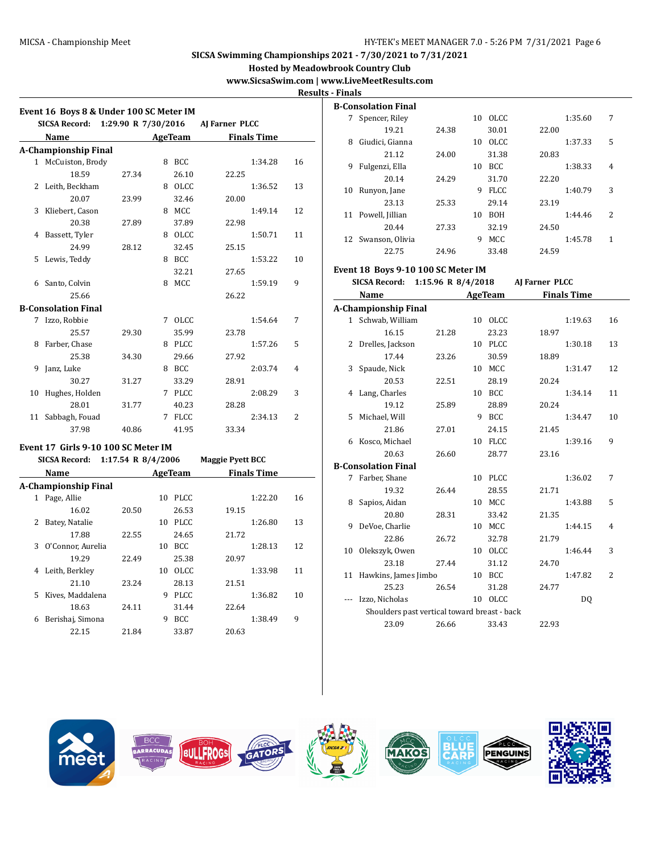**Hosted by Meadowbrook Country Club**

# **www.SicsaSwim.com | www.LiveMeetResults.com**

**Results - Finals**

| Event 16 Boys 8 & Under 100 SC Meter IM<br><b>SICSA Record:</b><br>1:29.90 R 7/30/2016<br>AJ Farner PLCC |                             |                    |         |                |                         |                    |                |  |  |  |  |  |
|----------------------------------------------------------------------------------------------------------|-----------------------------|--------------------|---------|----------------|-------------------------|--------------------|----------------|--|--|--|--|--|
|                                                                                                          | Name                        |                    |         | AgeTeam        |                         | <b>Finals Time</b> |                |  |  |  |  |  |
|                                                                                                          | <b>A-Championship Final</b> |                    |         |                |                         |                    |                |  |  |  |  |  |
|                                                                                                          | 1 McCuiston, Brody          |                    |         | 8 BCC          |                         | 1:34.28            | 16             |  |  |  |  |  |
|                                                                                                          | 18.59                       | 27.34              |         | 26.10          | 22.25                   |                    |                |  |  |  |  |  |
|                                                                                                          | 2 Leith, Beckham            |                    |         | 8 OLCC         |                         | 1:36.52            | 13             |  |  |  |  |  |
|                                                                                                          | 20.07                       | 23.99              |         | 32.46          | 20.00                   |                    |                |  |  |  |  |  |
|                                                                                                          | 3 Kliebert, Cason           |                    |         | 8 MCC          |                         | 1:49.14            | 12             |  |  |  |  |  |
|                                                                                                          | 20.38                       | 27.89              |         | 37.89          | 22.98                   |                    |                |  |  |  |  |  |
|                                                                                                          | 4 Bassett, Tyler            |                    |         | 8 OLCC         |                         | 1:50.71            | 11             |  |  |  |  |  |
|                                                                                                          | 24.99                       | 28.12              |         | 32.45          | 25.15                   |                    |                |  |  |  |  |  |
| 5                                                                                                        | Lewis, Teddy                |                    |         | 8 BCC          |                         | 1:53.22            | 10             |  |  |  |  |  |
|                                                                                                          |                             |                    |         | 32.21          | 27.65                   |                    |                |  |  |  |  |  |
|                                                                                                          | 6 Santo, Colvin             |                    |         | 8 MCC          |                         | 1:59.19            | 9              |  |  |  |  |  |
|                                                                                                          | 25.66                       |                    |         |                | 26.22                   |                    |                |  |  |  |  |  |
|                                                                                                          | <b>B-Consolation Final</b>  |                    |         |                |                         |                    |                |  |  |  |  |  |
|                                                                                                          | 7 Izzo, Robbie              |                    |         | 7 OLCC         |                         | 1:54.64            | 7              |  |  |  |  |  |
|                                                                                                          | 25.57                       | 29.30              |         | 35.99          | 23.78                   |                    |                |  |  |  |  |  |
|                                                                                                          | 8 Farber, Chase             |                    |         | 8 PLCC         |                         | 1:57.26            | 5              |  |  |  |  |  |
|                                                                                                          | 25.38                       | 34.30              |         | 29.66          | 27.92                   |                    |                |  |  |  |  |  |
| 9                                                                                                        | Janz, Luke                  |                    |         | 8 BCC          |                         | 2:03.74            | $\overline{4}$ |  |  |  |  |  |
|                                                                                                          | 30.27                       | 31.27              |         | 33.29          | 28.91                   |                    |                |  |  |  |  |  |
| 10                                                                                                       | Hughes, Holden              |                    |         | 7 PLCC         |                         | 2:08.29            | 3              |  |  |  |  |  |
|                                                                                                          | 28.01                       | 31.77              |         | 40.23          | 28.28                   |                    |                |  |  |  |  |  |
|                                                                                                          | 11 Sabbagh, Fouad           |                    | 2:34.13 | $\overline{2}$ |                         |                    |                |  |  |  |  |  |
| 37.98<br>41.95<br>33.34<br>40.86                                                                         |                             |                    |         |                |                         |                    |                |  |  |  |  |  |
| Event 17 Girls 9-10 100 SC Meter IM                                                                      |                             |                    |         |                |                         |                    |                |  |  |  |  |  |
|                                                                                                          | <b>SICSA Record:</b>        | 1:17.54 R 8/4/2006 |         |                | <b>Maggie Pyett BCC</b> |                    |                |  |  |  |  |  |
| <b>AgeTeam</b><br><b>Finals Time</b><br>Name                                                             |                             |                    |         |                |                         |                    |                |  |  |  |  |  |

|   | A-Championship Final |       |    |             |       |         |    |
|---|----------------------|-------|----|-------------|-------|---------|----|
| 1 | Page, Allie          |       | 10 | PLCC.       |       | 1:22.20 | 16 |
|   | 16.02                | 20.50 |    | 26.53       | 19.15 |         |    |
| 2 | Batey, Natalie       |       | 10 | PLCC.       |       | 1:26.80 | 13 |
|   | 17.88                | 22.55 |    | 24.65       | 21.72 |         |    |
| 3 | O'Connor, Aurelia    |       | 10 | BCC.        |       | 1:28.13 | 12 |
|   | 19.29                | 22.49 |    | 25.38       | 20.97 |         |    |
| 4 | Leith, Berkley       |       | 10 | OLCC.       |       | 1:33.98 | 11 |
|   | 21.10                | 23.24 |    | 28.13       | 21.51 |         |    |
| 5 | Kives, Maddalena     |       | 9  | <b>PLCC</b> |       | 1:36.82 | 10 |
|   | 18.63                | 24.11 |    | 31.44       | 22.64 |         |    |
| 6 | Berishaj, Simona     |       | 9  | <b>BCC</b>  |       | 1:38.49 | 9  |
|   | 22.15                | 21.84 |    | 33.87       | 20.63 |         |    |
|   |                      |       |    |             |       |         |    |

|    | B-Consolation Final |       |    |             |       |         |   |
|----|---------------------|-------|----|-------------|-------|---------|---|
| 7  | Spencer, Riley      |       | 10 | OLCC.       |       | 1:35.60 | 7 |
|    | 19.21               | 24.38 |    | 30.01       | 22.00 |         |   |
| 8  | Giudici, Gianna     |       | 10 | OLCC.       |       | 1:37.33 | 5 |
|    | 21.12               | 24.00 |    | 31.38       | 20.83 |         |   |
| 9  | Fulgenzi, Ella      |       | 10 | BCC.        |       | 1:38.33 | 4 |
|    | 20.14               | 24.29 |    | 31.70       | 22.20 |         |   |
| 10 | Runyon, Jane        |       | 9  | <b>FLCC</b> |       | 1:40.79 | 3 |
|    | 23.13               | 25.33 |    | 29.14       | 23.19 |         |   |
| 11 | Powell, Jillian     |       | 10 | <b>BOH</b>  |       | 1:44.46 | 2 |
|    | 20.44               | 27.33 |    | 32.19       | 24.50 |         |   |
| 12 | Swanson, Olivia     |       | 9  | MCC         |       | 1:45.78 | 1 |
|    | 22.75               | 24.96 |    | 33.48       | 24.59 |         |   |

### **Event 18 Boys 9-10 100 SC Meter IM**

|              | <b>SICSA Record:</b>                         |       | 1:15.96 R 8/4/2018 |                |       | AJ Farner PLCC     |                |  |
|--------------|----------------------------------------------|-------|--------------------|----------------|-------|--------------------|----------------|--|
|              | Name                                         |       |                    | <b>AgeTeam</b> |       | <b>Finals Time</b> |                |  |
|              | A-Championship Final                         |       |                    |                |       |                    |                |  |
| $\mathbf{1}$ | Schwab, William                              |       |                    | 10 OLCC        |       | 1:19.63            | 16             |  |
|              | 16.15                                        | 21.28 |                    | 23.23          | 18.97 |                    |                |  |
| $\mathbf{2}$ | Drelles, Jackson                             |       | 10                 | PLCC           |       | 1:30.18            | 13             |  |
|              | 17.44                                        | 23.26 |                    | 30.59          | 18.89 |                    |                |  |
| 3            | Spaude, Nick                                 |       | 10                 | MCC            |       | 1:31.47            | 12             |  |
|              | 20.53                                        | 22.51 |                    | 28.19          | 20.24 |                    |                |  |
| 4            | Lang, Charles                                |       | 10                 | <b>BCC</b>     |       | 1:34.14            | 11             |  |
|              | 19.12                                        | 25.89 |                    | 28.89          | 20.24 |                    |                |  |
| 5            | Michael, Will                                |       | 9                  | <b>BCC</b>     |       | 1:34.47            | 10             |  |
|              | 21.86                                        | 27.01 |                    | 24.15          | 21.45 |                    |                |  |
| 6            | Kosco, Michael                               |       | 10                 | FLCC           |       | 1:39.16            | 9              |  |
|              | 20.63                                        | 26.60 |                    | 28.77          | 23.16 |                    |                |  |
|              | <b>B-Consolation Final</b>                   |       |                    |                |       |                    |                |  |
| 7            | Farber, Shane                                |       | 10                 | PLCC           |       | 1:36.02            | 7              |  |
|              | 19.32                                        | 26.44 |                    | 28.55          | 21.71 |                    |                |  |
| 8            | Sapios, Aidan                                |       | 10                 | MCC            |       | 1:43.88            | 5              |  |
|              | 20.80                                        | 28.31 |                    | 33.42          | 21.35 |                    |                |  |
| 9            | DeVoe, Charlie                               |       | 10                 | MCC            |       | 1:44.15            | 4              |  |
|              | 22.86                                        | 26.72 |                    | 32.78          | 21.79 |                    |                |  |
| 10           | Olekszyk, Owen                               |       |                    | 10 OLCC        |       | 1:46.44            | 3              |  |
|              | 23.18                                        | 27.44 |                    | 31.12          | 24.70 |                    |                |  |
| 11           | Hawkins, James Jimbo                         |       | 10                 | <b>BCC</b>     |       | 1:47.82            | $\overline{2}$ |  |
|              | 25.23                                        | 26.54 |                    | 31.28          | 24.77 |                    |                |  |
|              | Izzo, Nicholas                               |       |                    | 10 OLCC        |       | DQ                 |                |  |
|              | Shoulders past vertical toward breast - back |       |                    |                |       |                    |                |  |
|              | 23.09                                        | 26.66 |                    | 33.43          | 22.93 |                    |                |  |
|              |                                              |       |                    |                |       |                    |                |  |

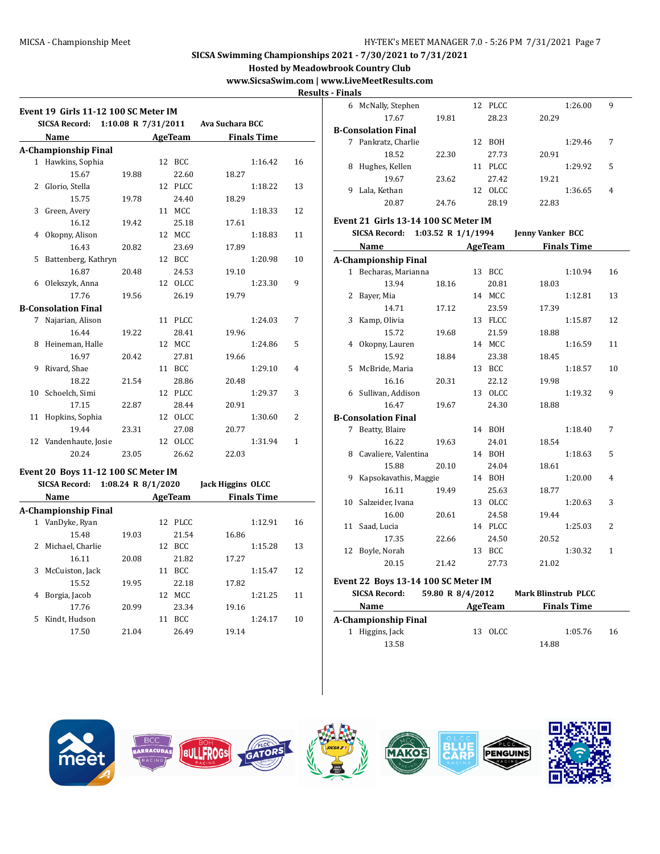**Hosted by Meadowbrook Country Club**

**www.SicsaSwim.com | www.LiveMeetResults.com**

**Results - Finals**

|    | Event 19 Girls 11-12 100 SC Meter IM |                     |    |                |                          |                    |    |
|----|--------------------------------------|---------------------|----|----------------|--------------------------|--------------------|----|
|    | <b>SICSA Record:</b>                 | 1:10.08 R 7/31/2011 |    |                | Ava Suchara BCC          |                    |    |
|    | Name                                 |                     |    | <b>AgeTeam</b> |                          | <b>Finals Time</b> |    |
|    | <b>A-Championship Final</b>          |                     |    |                |                          |                    |    |
| 1  | Hawkins, Sophia                      |                     |    | 12 BCC         |                          | 1:16.42            | 16 |
|    | 15.67                                | 19.88               |    | 22.60          | 18.27                    |                    |    |
| 2  | Glorio, Stella                       |                     |    | 12 PLCC        |                          | 1:18.22            | 13 |
|    | 15.75                                | 19.78               |    | 24.40          | 18.29                    |                    |    |
| 3  | Green, Avery                         |                     |    | 11 MCC         |                          | 1:18.33            | 12 |
|    | 16.12                                | 19.42               |    | 25.18          | 17.61                    |                    |    |
| 4  | Okopny, Alison                       |                     |    | 12 MCC         |                          | 1:18.83            | 11 |
|    | 16.43                                | 20.82               |    | 23.69          | 17.89                    |                    |    |
| 5  | Battenberg, Kathryn                  |                     |    | 12 BCC         |                          | 1:20.98            | 10 |
|    | 16.87                                | 20.48               |    | 24.53          | 19.10                    |                    |    |
| 6  | Olekszyk, Anna                       |                     |    | 12 OLCC        |                          | 1:23.30            | 9  |
|    | 17.76                                | 19.56               |    | 26.19          | 19.79                    |                    |    |
|    | <b>B-Consolation Final</b>           |                     |    |                |                          |                    |    |
| 7  | Najarian, Alison                     |                     |    | 11 PLCC        |                          | 1:24.03            | 7  |
|    | 16.44                                | 19.22               |    | 28.41          | 19.96                    |                    |    |
| 8  | Heineman, Halle                      |                     |    | 12 MCC         |                          | 1:24.86            | 5  |
|    | 16.97                                | 20.42               |    | 27.81          | 19.66                    |                    |    |
| 9  | Rivard, Shae                         |                     |    | 11 BCC         |                          | 1:29.10            | 4  |
|    | 18.22                                | 21.54               |    | 28.86          | 20.48                    |                    |    |
| 10 | Schoelch, Simi                       |                     |    | 12 PLCC        |                          | 1:29.37            | 3  |
|    | 17.15                                | 22.87               |    | 28.44          | 20.91                    |                    |    |
| 11 | Hopkins, Sophia                      |                     |    | 12 OLCC        |                          | 1:30.60            | 2  |
|    | 19.44                                | 23.31               |    | 27.08          | 20.77                    |                    |    |
| 12 | Vandenhaute, Josie                   |                     |    | 12 OLCC        |                          | 1:31.94            | 1  |
|    | 20.24                                | 23.05               |    | 26.62          | 22.03                    |                    |    |
|    |                                      |                     |    |                |                          |                    |    |
|    | Event 20 Boys 11-12 100 SC Meter IM  |                     |    |                |                          |                    |    |
|    | <b>SICSA Record:</b>                 | 1:08.24 R 8/1/2020  |    |                | <b>Jack Higgins OLCC</b> |                    |    |
|    | Name                                 |                     |    | <b>AgeTeam</b> |                          | <b>Finals Time</b> |    |
|    | <b>A-Championship Final</b>          |                     |    |                |                          |                    |    |
| 1  | VanDyke, Ryan                        |                     |    | 12 PLCC        |                          | 1:12.91            | 16 |
|    | 15.48                                | 19.03               |    | 21.54          | 16.86                    |                    |    |
| 2  | Michael, Charlie                     |                     |    | 12 BCC         |                          | 1:15.28            | 13 |
|    | 16.11                                | 20.08               |    | 21.82          | 17.27                    |                    |    |
| 3  | McCuiston, Jack                      |                     | 11 | BCC            |                          | 1:15.47            | 12 |
|    | 15.52                                | 19.95               |    | 22.18          | 17.82                    |                    |    |
| 4  | Borgia, Jacob                        |                     |    | 12 MCC         |                          | 1:21.25            | 11 |
|    | 17.76                                | 20.99               |    | 23.34          | 19.16                    |                    |    |
| 5  | Kindt, Hudson                        |                     | 11 | <b>BCC</b>     |                          | 1:24.17            | 10 |

17.50 21.04 26.49 19.14

|              | 6 McNally, Stephen                         |                    | 12 PLCC |                            | 1:26.00            | 9              |
|--------------|--------------------------------------------|--------------------|---------|----------------------------|--------------------|----------------|
|              | 17.67                                      | 19.81              | 28.23   | 20.29                      |                    |                |
|              | <b>B-Consolation Final</b>                 |                    |         |                            |                    |                |
|              | 7 Pankratz, Charlie                        |                    | 12 BOH  |                            | 1:29.46            | 7              |
|              | 18.52                                      | 22.30              | 27.73   | 20.91                      |                    |                |
| 8            | Hughes, Kellen                             |                    | 11 PLCC |                            | 1:29.92            | 5              |
|              | 19.67                                      | 23.62              | 27.42   | 19.21                      |                    |                |
| 9            | Lala, Kethan                               |                    | 12 OLCC |                            | 1:36.65            | 4              |
|              | 20.87                                      | 24.76              | 28.19   | 22.83                      |                    |                |
|              |                                            |                    |         |                            |                    |                |
|              | Event 21 Girls 13-14 100 SC Meter IM       |                    |         |                            |                    |                |
|              | <b>SICSA Record:</b>                       | 1:03.52 R 1/1/1994 |         | <b>Jenny Vanker BCC</b>    |                    |                |
|              | Name                                       |                    | AgeTeam |                            | <b>Finals Time</b> |                |
|              | <b>A-Championship Final</b>                |                    |         |                            |                    |                |
| $\mathbf{1}$ | Becharas, Marianna                         |                    | 13 BCC  |                            | 1:10.94            | 16             |
|              | 13.94                                      | 18.16              | 20.81   | 18.03                      |                    |                |
| 2            | Bayer, Mia                                 |                    | 14 MCC  |                            | 1:12.81            | 13             |
|              | 14.71                                      | 17.12              | 23.59   | 17.39                      |                    |                |
| 3            | Kamp, Olivia                               |                    | 13 FLCC |                            | 1:15.87            | 12             |
|              | 15.72                                      | 19.68              | 21.59   | 18.88                      |                    |                |
| 4            | Okopny, Lauren                             |                    | 14 MCC  |                            | 1:16.59            | 11             |
|              | 15.92                                      | 18.84              | 23.38   | 18.45                      |                    |                |
| 5            | McBride, Maria                             |                    | 13 BCC  |                            | 1:18.57            | 10             |
|              | 16.16                                      | 20.31              | 22.12   | 19.98                      |                    |                |
| 6            | Sullivan, Addison                          |                    | 13 OLCC |                            | 1:19.32            | 9              |
|              | 16.47                                      | 19.67              | 24.30   | 18.88                      |                    |                |
|              | <b>B-Consolation Final</b>                 |                    |         |                            |                    |                |
| 7            | Beatty, Blaire                             |                    | 14 BOH  |                            | 1:18.40            | 7              |
|              | 16.22                                      | 19.63              | 24.01   | 18.54                      |                    |                |
| 8            | Cavaliere, Valentina                       |                    | 14 BOH  |                            | 1:18.63            | 5              |
|              | 15.88                                      | 20.10              | 24.04   | 18.61                      |                    |                |
| 9            | Kapsokavathis, Maggie                      |                    | 14 BOH  |                            | 1:20.00            | 4              |
|              | 16.11                                      | 19.49              | 25.63   | 18.77                      |                    |                |
| 10           | Salzeider, Ivana                           |                    | 13 OLCC |                            | 1:20.63            | 3              |
|              | 16.00                                      | 20.61              | 24.58   | 19.44                      |                    |                |
| 11           | Saad, Lucia                                |                    | 14 PLCC |                            | 1:25.03            | $\overline{2}$ |
|              | 17.35                                      | 22.66              | 24.50   | 20.52                      |                    |                |
| 12           | Boyle, Norah                               |                    | 13 BCC  |                            | 1:30.32            | $\mathbf{1}$   |
|              | 20.15                                      | 21.42              | 27.73   | 21.02                      |                    |                |
|              |                                            |                    |         |                            |                    |                |
|              | <b>Event 22 Boys 13-14 100 SC Meter IM</b> |                    |         |                            |                    |                |
|              | <b>SICSA Record:</b>                       | 59.80 R 8/4/2012   |         | <b>Mark Blinstrub PLCC</b> |                    |                |
|              | Name                                       |                    | AgeTeam |                            | <b>Finals Time</b> |                |
|              | A-Championship Final                       |                    |         |                            |                    |                |
|              | 1 Higgins, Jack                            |                    | 13 OLCC |                            | 1:05.76            | 16             |
|              | 13.58                                      |                    |         | 14.88                      |                    |                |

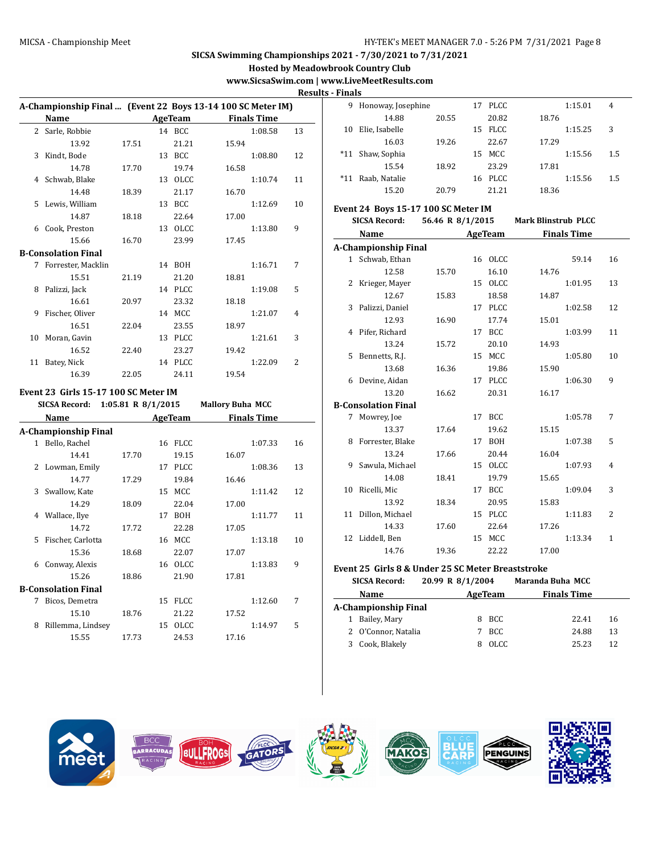**Hosted by Meadowbrook Country Club**

# **www.SicsaSwim.com | www.LiveMeetResults.com**

**Results - Finals**

|              |                                                             |                    |                |                |                         |                    | <u>nes</u>     |
|--------------|-------------------------------------------------------------|--------------------|----------------|----------------|-------------------------|--------------------|----------------|
|              | A-Championship Final  (Event 22 Boys 13-14 100 SC Meter IM) |                    |                |                |                         |                    |                |
|              | Name                                                        |                    |                | <b>AgeTeam</b> |                         | <b>Finals Time</b> |                |
| $\mathbf{2}$ | Sarle, Robbie                                               |                    |                | 14 BCC         |                         | 1:08.58            | 13             |
|              | 13.92                                                       | 17.51              |                | 21.21          | 15.94                   |                    |                |
| 3            | Kindt, Bode                                                 |                    |                | 13 BCC         |                         | 1:08.80            | 12             |
|              | 14.78                                                       | 17.70              |                | 19.74          | 16.58                   |                    |                |
| 4            | Schwab, Blake                                               |                    |                | 13 OLCC        |                         | 1:10.74            | 11             |
|              | 14.48                                                       | 18.39              |                | 21.17          | 16.70                   |                    |                |
| 5            | Lewis, William                                              |                    |                | 13 BCC         |                         | 1:12.69            | 10             |
|              | 14.87                                                       | 18.18              |                | 22.64          | 17.00                   |                    |                |
| 6            | Cook, Preston                                               |                    |                | 13 OLCC        |                         | 1:13.80            | 9              |
|              | 15.66                                                       | 16.70              |                | 23.99          | 17.45                   |                    |                |
|              | <b>B-Consolation Final</b>                                  |                    |                |                |                         |                    |                |
| 7            | Forrester, Macklin                                          |                    |                | 14 BOH         |                         | 1:16.71            | 7              |
|              | 15.51                                                       | 21.19              |                | 21.20          | 18.81                   |                    |                |
| 8            | Palizzi, Jack                                               |                    |                | 14 PLCC        |                         | 1:19.08            | 5              |
|              | 16.61                                                       | 20.97              |                | 23.32          | 18.18                   |                    |                |
| 9            | Fischer, Oliver                                             |                    |                | 14 MCC         |                         | 1:21.07            | $\overline{4}$ |
|              | 16.51                                                       | 22.04              |                | 23.55          | 18.97                   |                    |                |
| 10           | Moran, Gavin                                                |                    |                | 13 PLCC        |                         | 1:21.61            | 3              |
|              | 16.52                                                       | 22.40              |                | 23.27          | 19.42                   |                    |                |
| 11           | Batey, Nick                                                 |                    |                | 14 PLCC        |                         | 1:22.09            | $\overline{2}$ |
|              | 16.39                                                       | 22.05              |                | 24.11          | 19.54                   |                    |                |
|              |                                                             |                    |                |                |                         |                    |                |
|              | Event 23  Girls 15-17 100 SC Meter IM                       |                    |                |                |                         |                    |                |
|              | <b>SICSA Record:</b>                                        | 1:05.81 R 8/1/2015 |                |                | <b>Mallory Buha MCC</b> |                    |                |
|              | Name                                                        |                    | <b>AgeTeam</b> |                |                         | <b>Finals Time</b> |                |
|              | A-Championship Final                                        |                    |                |                |                         |                    |                |
|              | 1 Bello, Rachel                                             |                    |                | 16 FLCC        |                         | 1:07.33            | 16             |
|              | 14.41                                                       | 17.70              |                | 19.15          | 16.07                   |                    |                |
| 2            | Lowman, Emily                                               |                    |                | 17 PLCC        |                         | 1:08.36            | 13             |
|              | 14.77                                                       | 17.29              |                | 19.84          | 16.46                   |                    |                |
| 3            | Swallow, Kate                                               |                    |                | 15 MCC         |                         | 1:11.42            | 12             |
|              | 14.29                                                       | 18.09              |                | 22.04          | 17.00                   |                    |                |
| 4            | Wallace, Ilye                                               |                    |                | 17 BOH         |                         | 1:11.77            | 11             |
|              | 14.72                                                       | 17.72              |                | 22.28          | 17.05                   |                    |                |
| 5            | Fischer, Carlotta                                           |                    |                | 16 MCC         |                         | 1:13.18            | 10             |
|              | 15.36                                                       | 18.68              |                | 22.07          | 17.07                   |                    |                |
| 6            | Conway, Alexis                                              |                    |                | 16 OLCC        |                         | 1:13.83            | 9              |
|              | 15.26                                                       | 18.86              |                | 21.90          | 17.81                   |                    |                |
|              | <b>B-Consolation Final</b>                                  |                    |                |                |                         |                    |                |
| $7^{\circ}$  | Bicos, Demetra                                              |                    |                | 15 FLCC        |                         | 1:12.60            | 7              |
|              | 15.10                                                       | 18.76              |                | 21.22          | 17.52                   |                    |                |
| 8            | Rillemma, Lindsey                                           |                    | 15             | OLCC           |                         | 1:14.97            | 5              |

15.55 17.73 24.53 17.16

| 9     | Honoway, Josephine |       | 17 | PLCC. |       | 1:15.01 | 4   |
|-------|--------------------|-------|----|-------|-------|---------|-----|
|       | 14.88              | 20.55 |    | 20.82 | 18.76 |         |     |
| 10    | Elie, Isabelle     |       | 15 | FLCC  |       | 1:15.25 | 3   |
|       | 16.03              | 19.26 |    | 22.67 | 17.29 |         |     |
| $*11$ | Shaw, Sophia       |       | 15 | MCC   |       | 1:15.56 | 1.5 |
|       | 15.54              | 18.92 |    | 23.29 | 17.81 |         |     |
| $*11$ | Raab, Natalie      |       | 16 | PLCC  |       | 1:15.56 | 1.5 |
|       | 15.20              | 20.79 |    | 21.21 | 18.36 |         |     |

# **Event 24 Boys 15-17 100 SC Meter IM**

|    | <b>SICSA Record:</b>       | 56.46 R 8/1/2015 Mark Blinstrub PLCC |    |             |       |                    |              |  |
|----|----------------------------|--------------------------------------|----|-------------|-------|--------------------|--------------|--|
|    | Name                       |                                      |    | AgeTeam     |       | <b>Finals Time</b> |              |  |
|    | A-Championship Final       |                                      |    |             |       |                    |              |  |
|    | 1 Schwab, Ethan            |                                      |    | 16 OLCC     |       | 59.14              | 16           |  |
|    | 12.58                      | 15.70                                |    | 16.10       | 14.76 |                    |              |  |
| 2  | Krieger, Mayer             |                                      | 15 | OLCC        |       | 1:01.95            | 13           |  |
|    | 12.67                      | 15.83                                |    | 18.58       | 14.87 |                    |              |  |
| 3  | Palizzi, Daniel            |                                      |    | 17 PLCC     |       | 1:02.58            | 12           |  |
|    | 12.93                      | 16.90                                |    | 17.74       | 15.01 |                    |              |  |
| 4  | Pifer, Richard             |                                      |    | 17 BCC      |       | 1:03.99            | 11           |  |
|    | 13.24                      | 15.72                                |    | 20.10       | 14.93 |                    |              |  |
| 5  | Bennetts, R.J.             |                                      |    | 15 MCC      |       | 1:05.80            | 10           |  |
|    | 13.68                      | 16.36                                |    | 19.86       | 15.90 |                    |              |  |
| 6  | Devine, Aidan              |                                      | 17 | <b>PLCC</b> |       | 1:06.30            | 9            |  |
|    | 13.20                      | 16.62                                |    | 20.31       | 16.17 |                    |              |  |
|    | <b>B-Consolation Final</b> |                                      |    |             |       |                    |              |  |
|    | 7 Mowrey, Joe              |                                      | 17 | <b>BCC</b>  |       | 1:05.78            | 7            |  |
|    | 13.37                      | 17.64                                |    | 19.62       | 15.15 |                    |              |  |
| 8  | Forrester, Blake           |                                      |    | 17 BOH      |       | 1:07.38            | 5            |  |
|    | 13.24                      | 17.66                                |    | 20.44       | 16.04 |                    |              |  |
| 9  | Sawula, Michael            |                                      | 15 | <b>OLCC</b> |       | 1:07.93            | 4            |  |
|    | 14.08                      | 18.41                                |    | 19.79       | 15.65 |                    |              |  |
| 10 | Ricelli, Mic               |                                      | 17 | <b>BCC</b>  |       | 1:09.04            | 3            |  |
|    | 13.92                      | 18.34                                |    | 20.95       | 15.83 |                    |              |  |
| 11 | Dillon, Michael            |                                      |    | 15 PLCC     |       | 1:11.83            | 2            |  |
|    | 14.33                      | 17.60                                |    | 22.64       | 17.26 |                    |              |  |
|    | 12 Liddell, Ben            |                                      |    | 15 MCC      |       | 1:13.34            | $\mathbf{1}$ |  |
|    | 14.76                      | 19.36                                |    | 22.22       | 17.00 |                    |              |  |

#### **Event 25 Girls 8 & Under 25 SC Meter Breaststroke**

|   | 20.99 R 8/1/2004<br><b>SICSA Record:</b> |  |         | Maranda Buha MCC   |    |  |  |  |  |  |  |
|---|------------------------------------------|--|---------|--------------------|----|--|--|--|--|--|--|
|   | Name                                     |  | AgeTeam | <b>Finals Time</b> |    |  |  |  |  |  |  |
|   | A-Championship Final                     |  |         |                    |    |  |  |  |  |  |  |
| 1 | Bailey, Mary                             |  | 8 BCC   | 22.41              | 16 |  |  |  |  |  |  |
|   | 2 O'Connor, Natalia                      |  | BCC.    | 24.88              | 13 |  |  |  |  |  |  |
| 3 | Cook, Blakely                            |  | OLCC.   | 25.23              |    |  |  |  |  |  |  |

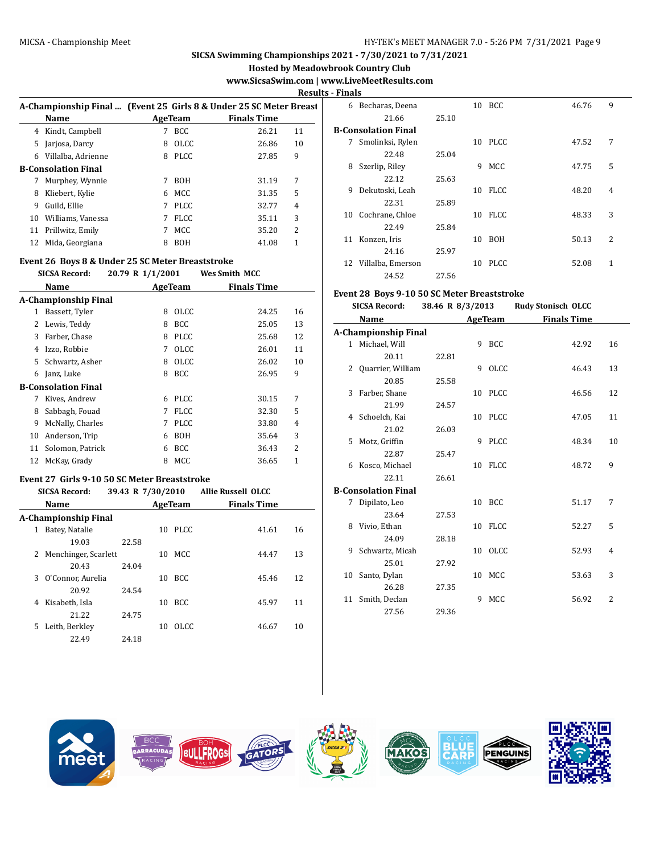**Hosted by Meadowbrook Country Club**

# **www.SicsaSwim.com | www.LiveMeetResults.com**

**Results - Finals**

|    |                                                                                   |    |             |                    |                | кезинэ - ГШ |
|----|-----------------------------------------------------------------------------------|----|-------------|--------------------|----------------|-------------|
|    | A-Championship Final  (Event 25 Girls 8 & Under 25 SC Meter Breast<br><b>Name</b> |    | AgeTeam     | <b>Finals Time</b> |                |             |
|    | 4 Kindt, Campbell                                                                 |    | BCC.        | 26.21              | 11             | $B-C$       |
| 5  | Jarjosa, Darcy                                                                    | 8  | <b>OLCC</b> | 26.86              | 10             |             |
| 6  | Villalba, Adrienne                                                                | 8  | PLCC        | 27.85              | 9              |             |
|    | <b>B-Consolation Final</b>                                                        |    |             |                    |                |             |
| 7  | Murphey, Wynnie                                                                   |    | <b>BOH</b>  | 31.19              | 7              |             |
| 8  | Kliebert, Kylie                                                                   | 6. | MCC         | 31.35              | 5              |             |
| 9  | Guild, Ellie                                                                      | 7  | PLCC.       | 32.77              | $\overline{4}$ |             |
| 10 | Williams, Vanessa                                                                 |    | FLCC.       | 35.11              | 3              | 1           |
| 11 | Prillwitz, Emily                                                                  |    | <b>MCC</b>  | 35.20              | 2              |             |
| 12 | Mida, Georgiana                                                                   | 8  | <b>BOH</b>  | 41.08              | 1              | 1           |
|    |                                                                                   |    |             |                    |                |             |

# **Event 26 Boys 8 & Under 25 SC Meter Breaststroke**

|    | <b>SICSA Record:</b>        | 20.79 R 1/1/2001 |         |             | Wes Smith MCC      |    |
|----|-----------------------------|------------------|---------|-------------|--------------------|----|
|    | Name                        |                  | AgeTeam |             | <b>Finals Time</b> |    |
|    | <b>A-Championship Final</b> |                  |         |             |                    |    |
| 1  | Bassett, Tyler              |                  | 8       | <b>OLCC</b> | 24.25              | 16 |
| 2  | Lewis, Teddy                |                  | 8       | BCC         | 25.05              | 13 |
| 3  | Farber, Chase               |                  | 8       | <b>PLCC</b> | 25.68              | 12 |
| 4  | Izzo, Robbie                |                  | 7       | <b>OLCC</b> | 26.01              | 11 |
| 5. | Schwartz, Asher             |                  | 8       | OLCC        | 26.02              | 10 |
| 6  | Janz, Luke                  |                  | 8       | <b>BCC</b>  | 26.95              | 9  |
|    | <b>B-Consolation Final</b>  |                  |         |             |                    |    |
| 7  | Kives, Andrew               |                  | 6       | <b>PLCC</b> | 30.15              | 7  |
| 8  | Sabbagh, Fouad              |                  | 7       | <b>FLCC</b> | 32.30              | 5  |
| 9  | McNally, Charles            |                  | 7       | <b>PLCC</b> | 33.80              | 4  |
| 10 | Anderson, Trip              |                  | 6       | BOH         | 35.64              | 3  |
| 11 | Solomon, Patrick            |                  | 6       | <b>BCC</b>  | 36.43              | 2  |
| 12 | McKay, Grady                |                  | 8       | MCC         | 36.65              | 1  |
|    |                             |                  |         |             |                    |    |

# **Event 27 Girls 9-10 50 SC Meter Breaststroke**

| <b>SICSA Record:</b> |    |                        | 39.43 R 7/30/2010 |    |            | <b>Allie Russell OLCC</b> |    |  |
|----------------------|----|------------------------|-------------------|----|------------|---------------------------|----|--|
|                      |    | <b>Name</b>            |                   |    | AgeTeam    | <b>Finals Time</b>        |    |  |
|                      |    | A-Championship Final   |                   |    |            |                           |    |  |
|                      | 1  | Batey, Natalie         |                   | 10 | PLCC.      | 41.61                     | 16 |  |
|                      |    | 19.03                  | 22.58             |    |            |                           |    |  |
|                      |    | 2 Menchinger, Scarlett |                   | 10 | MCC.       | 44.47                     | 13 |  |
|                      |    | 20.43                  | 24.04             |    |            |                           |    |  |
|                      | 3  | O'Connor, Aurelia      |                   | 10 | <b>BCC</b> | 45.46                     | 12 |  |
|                      |    | 20.92                  | 24.54             |    |            |                           |    |  |
|                      | 4  | Kisabeth, Isla         |                   | 10 | BCC.       | 45.97                     | 11 |  |
|                      |    | 21.22                  | 24.75             |    |            |                           |    |  |
|                      | 5. | Leith, Berkley         |                   | 10 | OLCC.      | 46.67                     | 10 |  |
|                      |    | 22.49                  | 24.18             |    |            |                           |    |  |
|                      |    |                        |                   |    |            |                           |    |  |

| гшаіэ |                     |       |    |             |       |                |
|-------|---------------------|-------|----|-------------|-------|----------------|
| 6     | Becharas, Deena     |       | 10 | <b>BCC</b>  | 46.76 | 9              |
|       | 21.66               | 25.10 |    |             |       |                |
|       | B-Consolation Final |       |    |             |       |                |
| 7     | Smolinksi, Rylen    |       | 10 | <b>PLCC</b> | 47.52 | 7              |
|       | 22.48               | 25.04 |    |             |       |                |
| 8     | Szerlip, Riley      |       | 9  | MCC         | 47.75 | 5              |
|       | 22.12               | 25.63 |    |             |       |                |
| 9     | Dekutoski, Leah     |       | 10 | <b>FLCC</b> | 48.20 | $\overline{4}$ |
|       | 22.31               | 25.89 |    |             |       |                |
| 10    | Cochrane, Chloe     |       | 10 | <b>FLCC</b> | 48.33 | 3              |
|       | 22.49               | 25.84 |    |             |       |                |
| 11    | Konzen, Iris        |       | 10 | <b>BOH</b>  | 50.13 | 2              |
|       | 24.16               | 25.97 |    |             |       |                |
| 12    | Villalba, Emerson   |       | 10 | PLCC.       | 52.08 | 1              |
|       | 24.52               | 27.56 |    |             |       |                |

### **Event 28 Boys 9-10 50 SC Meter Breaststroke**

| <b>SICSA Record:</b> |                            | 38.46 R 8/3/2013 |   |         | <b>Rudy Stonisch OLCC</b> |    |
|----------------------|----------------------------|------------------|---|---------|---------------------------|----|
|                      | Name                       |                  |   | AgeTeam | <b>Finals Time</b>        |    |
|                      | A-Championship Final       |                  |   |         |                           |    |
|                      | 1 Michael, Will            |                  |   | 9 BCC   | 42.92                     | 16 |
|                      | 20.11                      | 22.81            |   |         |                           |    |
|                      | 2 Quarrier, William        |                  | 9 | OLCC    | 46.43                     | 13 |
|                      | 20.85                      | 25.58            |   |         |                           |    |
|                      | 3 Farber, Shane            |                  |   | 10 PLCC | 46.56                     | 12 |
|                      | 21.99                      | 24.57            |   |         |                           |    |
|                      | 4 Schoelch, Kai            |                  |   | 10 PLCC | 47.05                     | 11 |
|                      | 21.02                      | 26.03            |   |         |                           |    |
|                      | 5 Motz, Griffin            |                  | 9 | PLCC    | 48.34                     | 10 |
|                      | 22.87                      | 25.47            |   |         |                           |    |
|                      | 6 Kosco, Michael           |                  |   | 10 FLCC | 48.72                     | 9  |
|                      | 22.11                      | 26.61            |   |         |                           |    |
|                      | <b>B-Consolation Final</b> |                  |   |         |                           |    |
|                      | 7 Dipilato, Leo            |                  |   | 10 BCC  | 51.17                     | 7  |
|                      | 23.64                      | 27.53            |   |         |                           |    |
|                      | 8 Vivio, Ethan             |                  |   | 10 FLCC | 52.27                     | 5  |
|                      | 24.09                      | 28.18            |   |         |                           |    |
|                      | 9 Schwartz, Micah          |                  |   | 10 OLCC | 52.93                     | 4  |
|                      | 25.01                      | 27.92            |   |         |                           |    |
|                      | 10 Santo, Dylan            |                  |   | 10 MCC  | 53.63                     | 3  |
|                      | 26.28                      | 27.35            |   |         |                           |    |
|                      | 11 Smith, Declan           |                  | 9 | MCC     | 56.92                     | 2  |
|                      | 27.56                      | 29.36            |   |         |                           |    |

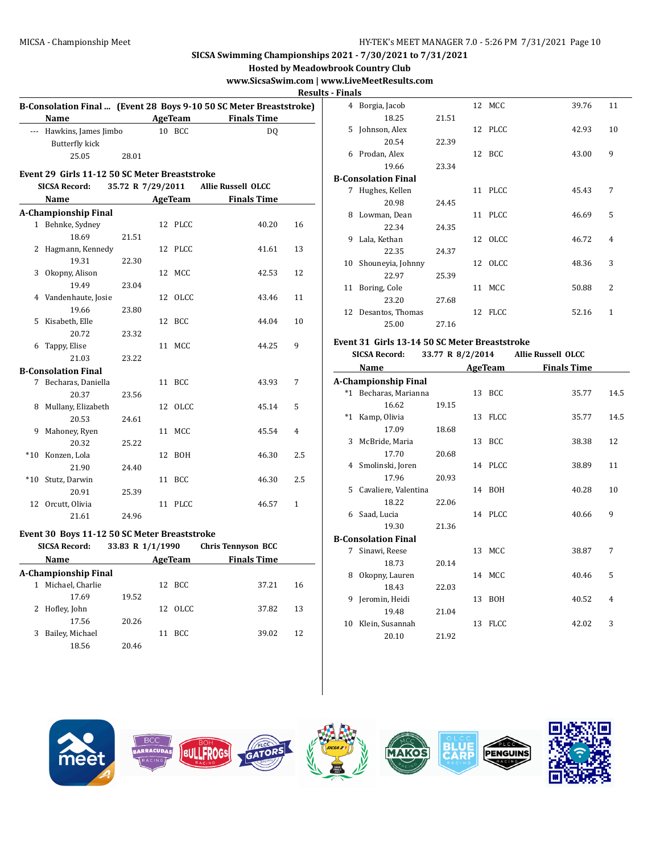|   |                                               |                   |                |                                                                    |                         |   | <b>Hosted by Meadowbrook Country Club</b>   |
|---|-----------------------------------------------|-------------------|----------------|--------------------------------------------------------------------|-------------------------|---|---------------------------------------------|
|   |                                               |                   |                |                                                                    |                         |   | www.SicsaSwim.com   www.LiveMeetResults.com |
|   |                                               |                   |                |                                                                    | <b>Results - Finals</b> |   |                                             |
|   |                                               |                   |                | B-Consolation Final  (Event 28 Boys 9-10 50 SC Meter Breaststroke) |                         |   | 4 Borgia, Jacob                             |
|   | <b>Name</b>                                   |                   | <b>AgeTeam</b> | <b>Finals Time</b>                                                 |                         |   | 18.25                                       |
|   | --- Hawkins, James Jimbo                      |                   | 10 BCC         | DQ                                                                 |                         |   | 5 Johnson, Alex                             |
|   | <b>Butterfly kick</b>                         |                   |                |                                                                    |                         |   | 20.54                                       |
|   | 25.05                                         | 28.01             |                |                                                                    |                         |   | 6 Prodan, Alex                              |
|   |                                               |                   |                |                                                                    |                         |   | 19.66                                       |
|   | Event 29 Girls 11-12 50 SC Meter Breaststroke |                   |                |                                                                    |                         |   | <b>B-Consolation Final</b>                  |
|   | <b>SICSA Record:</b>                          | 35.72 R 7/29/2011 |                | <b>Allie Russell OLCC</b>                                          |                         |   | 7 Hughes, Kellen                            |
|   | Name                                          |                   | AgeTeam        | <b>Finals Time</b>                                                 |                         |   | 20.98                                       |
|   | <b>A-Championship Final</b>                   |                   |                |                                                                    |                         |   | 8 Lowman, Dean                              |
|   | 1 Behnke, Sydney                              |                   | 12 PLCC        | 40.20                                                              | 16                      |   | 22.34                                       |
|   | 18.69                                         | 21.51             |                |                                                                    |                         |   | 9 Lala, Kethan                              |
|   | 2 Hagmann, Kennedy                            |                   | 12 PLCC        | 41.61                                                              | 13                      |   | 22.35                                       |
|   | 19.31                                         | 22.30             |                |                                                                    |                         |   | 10 Shouneyia, Johnny                        |
|   | 3 Okopny, Alison                              |                   | 12 MCC         | 42.53                                                              | 12                      |   | 22.97                                       |
|   | 19.49                                         | 23.04             |                |                                                                    |                         |   | 11 Boring, Cole                             |
|   | 4 Vandenhaute, Josie                          |                   | 12 OLCC        | 43.46                                                              | 11                      |   | 23.20                                       |
|   | 19.66                                         | 23.80             |                |                                                                    |                         |   | 12 Desantos, Thomas                         |
|   | 5 Kisabeth, Elle                              |                   | 12 BCC         | 44.04                                                              | 10                      |   | 25.00                                       |
|   | 20.72                                         | 23.32             |                |                                                                    |                         |   | Event 31 Girls 13-14 50                     |
|   | 6 Tappy, Elise                                |                   | 11 MCC         | 44.25                                                              | 9                       |   | <b>SICSA Record:</b>                        |
|   | 21.03                                         | 23.22             |                |                                                                    |                         |   | 33.7                                        |
|   | <b>B-Consolation Final</b>                    |                   |                |                                                                    |                         |   | Name                                        |
|   | 7 Becharas, Daniella                          |                   | 11 BCC         | 43.93                                                              | 7                       |   | <b>A-Championship Final</b>                 |
|   | 20.37                                         | 23.56             |                |                                                                    |                         |   | *1 Becharas, Marianna                       |
|   | 8 Mullany, Elizabeth                          |                   | 12 OLCC        | 45.14                                                              | 5                       |   | 16.62                                       |
|   | 20.53                                         | 24.61             |                |                                                                    |                         |   | *1 Kamp, Olivia                             |
|   | 9 Mahoney, Ryen                               |                   | 11 MCC         | 45.54                                                              | 4                       |   | 17.09                                       |
|   | 20.32                                         | 25.22             |                |                                                                    |                         |   | 3 McBride, Maria                            |
|   | *10 Konzen, Lola                              |                   | 12 BOH         | 46.30                                                              | 2.5                     |   | 17.70                                       |
|   | 21.90                                         | 24.40             |                |                                                                    |                         |   | 4 Smolinski, Joren                          |
|   | *10 Stutz, Darwin                             |                   | 11 BCC         | 46.30                                                              | 2.5                     |   | 17.96                                       |
|   | 20.91                                         | 25.39             |                |                                                                    |                         |   | 5 Cavaliere, Valentina                      |
|   | 12 Orcutt, Olivia                             |                   | 11 PLCC        | 46.57                                                              | $\mathbf{1}$            |   | 18.22                                       |
|   | 21.61                                         | 24.96             |                |                                                                    |                         |   | 6 Saad, Lucia                               |
|   | Event 30 Boys 11-12 50 SC Meter Breaststroke  |                   |                |                                                                    |                         |   | 19.30                                       |
|   |                                               |                   |                | SICSA Record: 33.83 R 1/1/1990 Chris Tennyson BCC                  |                         |   | <b>B-Consolation Final</b>                  |
|   | Name                                          |                   | <b>AgeTeam</b> | <b>Finals Time</b>                                                 |                         |   | 7 Sinawi, Reese                             |
|   | <b>A-Championship Final</b>                   |                   |                |                                                                    |                         |   | 18.73                                       |
|   | 1 Michael, Charlie                            |                   | 12 BCC         | 37.21                                                              | 16                      | 8 | Okopny, Lauren                              |
|   | 17.69                                         |                   |                |                                                                    |                         |   | 18.43                                       |
|   | 2 Hofley, John                                | 19.52             |                | 37.82                                                              |                         |   | 9 Jeromin, Heidi                            |
|   | 17.56                                         | 20.26             | 12 OLCC        |                                                                    | 13                      |   | 19.48                                       |
| 3 | Bailey, Michael                               |                   | 11 BCC         | 39.02                                                              | 12                      |   | 10 Klein, Susannah                          |
|   | 18.56                                         |                   |                |                                                                    |                         |   | 20.10                                       |
|   |                                               | 20.46             |                |                                                                    |                         |   |                                             |
|   |                                               |                   |                |                                                                    |                         |   |                                             |

| rinais |                     |       |    |         |       |                |
|--------|---------------------|-------|----|---------|-------|----------------|
| 4      | Borgia, Jacob       |       |    | 12 MCC  | 39.76 | 11             |
|        | 18.25               | 21.51 |    |         |       |                |
| 5      | Johnson, Alex       |       |    | 12 PLCC | 42.93 | 10             |
|        | 20.54               | 22.39 |    |         |       |                |
| 6      | Prodan, Alex        |       |    | 12 BCC  | 43.00 | 9              |
|        | 19.66               | 23.34 |    |         |       |                |
|        | B-Consolation Final |       |    |         |       |                |
| 7      | Hughes, Kellen      |       |    | 11 PLCC | 45.43 | 7              |
|        | 20.98               | 24.45 |    |         |       |                |
| 8      | Lowman, Dean        |       |    | 11 PLCC | 46.69 | 5              |
|        | 22.34               | 24.35 |    |         |       |                |
| 9      | Lala, Kethan        |       |    | 12 OLCC | 46.72 | 4              |
|        | 22.35               | 24.37 |    |         |       |                |
| 10     | Shouneyia, Johnny   |       |    | 12 OLCC | 48.36 | 3              |
|        | 22.97               | 25.39 |    |         |       |                |
| 11     | Boring, Cole        |       | 11 | MCC     | 50.88 | $\overline{2}$ |
|        | 23.20               | 27.68 |    |         |       |                |
|        | 12 Desantos, Thomas |       |    | 12 FLCC | 52.16 | 1              |
|        | 25.00               | 27.16 |    |         |       |                |

### **Event 31 Girls 13-14 50 SC Meter Breaststroke**

**SA Record: 33.77 R**  $8/2/2014$  **Allie Russell OLCC** 

| <b>Name</b> |                            |       |    | <b>AgeTeam</b> | <b>Finals Time</b> |      |
|-------------|----------------------------|-------|----|----------------|--------------------|------|
|             | A-Championship Final       |       |    |                |                    |      |
| *1          | Becharas, Marianna         |       |    | 13 BCC         | 35.77              | 14.5 |
|             | 16.62                      | 19.15 |    |                |                    |      |
| $*1$        | Kamp, Olivia               |       |    | 13 FLCC        | 35.77              | 14.5 |
|             | 17.09                      | 18.68 |    |                |                    |      |
| 3           | McBride, Maria             |       |    | 13 BCC         | 38.38              | 12   |
|             | 17.70                      | 20.68 |    |                |                    |      |
| 4           | Smolinski, Joren           |       |    | 14 PLCC        | 38.89              | 11   |
|             | 17.96                      | 20.93 |    |                |                    |      |
| 5           | Cavaliere, Valentina       |       |    | 14 BOH         | 40.28              | 10   |
|             | 18.22                      | 22.06 |    |                |                    |      |
| 6           | Saad, Lucia                |       |    | 14 PLCC        | 40.66              | 9    |
|             | 19.30                      | 21.36 |    |                |                    |      |
|             | <b>B-Consolation Final</b> |       |    |                |                    |      |
| 7           | Sinawi, Reese              |       |    | 13 MCC         | 38.87              | 7    |
|             | 18.73                      | 20.14 |    |                |                    |      |
| 8           | Okopny, Lauren             |       |    | 14 MCC         | 40.46              | 5    |
|             | 18.43                      | 22.03 |    |                |                    |      |
| 9           | Jeromin, Heidi             |       |    | 13 BOH         | 40.52              | 4    |
|             | 19.48                      | 21.04 |    |                |                    |      |
| 10          | Klein, Susannah            |       | 13 | FLCC           | 42.02              | 3    |
|             | 20.10                      | 21.92 |    |                |                    |      |

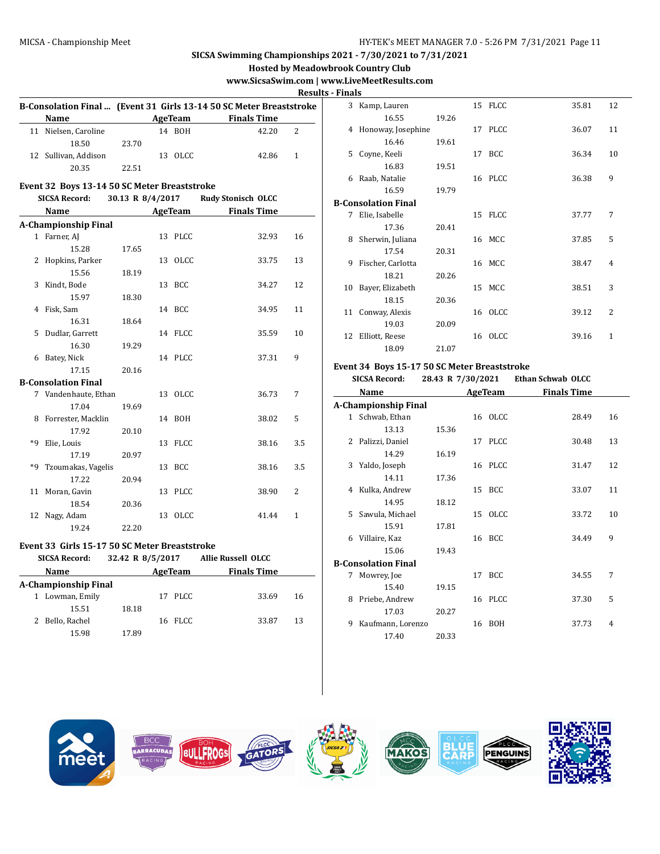**Hosted by Meadowbrook Country Club**

# **www.SicsaSwim.com | www.LiveMeetResults.com**

<u>**s** - Fin</u>

|                             |                                               |                  |  |         |                                                                     | <b>Result</b>  |  |  |
|-----------------------------|-----------------------------------------------|------------------|--|---------|---------------------------------------------------------------------|----------------|--|--|
|                             |                                               |                  |  |         | B-Consolation Final  (Event 31 Girls 13-14 50 SC Meter Breaststroke |                |  |  |
|                             | Name                                          |                  |  |         | <b>AgeTeam</b><br><b>Finals Time</b>                                |                |  |  |
|                             | 11 Nielsen, Caroline                          |                  |  | 14 BOH  | 42.20                                                               | $\overline{c}$ |  |  |
|                             | 18.50                                         | 23.70            |  |         |                                                                     |                |  |  |
|                             | 12 Sullivan, Addison                          |                  |  | 13 OLCC | 42.86                                                               | $\mathbf{1}$   |  |  |
|                             | 20.35                                         | 22.51            |  |         |                                                                     |                |  |  |
|                             | Event 32 Boys 13-14 50 SC Meter Breaststroke  |                  |  |         |                                                                     |                |  |  |
|                             | <b>SICSA Record:</b>                          | 30.13 R 8/4/2017 |  |         | <b>Rudy Stonisch OLCC</b>                                           |                |  |  |
|                             | Name                                          |                  |  |         | AgeTeam Finals Time                                                 |                |  |  |
| <b>A-Championship Final</b> |                                               |                  |  |         |                                                                     |                |  |  |
|                             | 1 Farner, AJ                                  |                  |  | 13 PLCC | 32.93                                                               | 16             |  |  |
|                             | 15.28                                         | 17.65            |  |         |                                                                     |                |  |  |
|                             | 2 Hopkins, Parker                             |                  |  | 13 OLCC | 33.75                                                               | 13             |  |  |
|                             | 15.56                                         | 18.19            |  |         |                                                                     |                |  |  |
| 3                           | Kindt, Bode                                   |                  |  | 13 BCC  | 34.27                                                               | 12             |  |  |
|                             | 15.97                                         | 18.30            |  |         |                                                                     |                |  |  |
|                             | 4 Fisk, Sam                                   |                  |  | 14 BCC  | 34.95                                                               | 11             |  |  |
|                             | 16.31                                         | 18.64            |  |         |                                                                     |                |  |  |
| 5                           | Dudlar, Garrett                               |                  |  | 14 FLCC | 35.59                                                               | 10             |  |  |
|                             | 16.30                                         | 19.29            |  |         |                                                                     |                |  |  |
|                             |                                               |                  |  | 14 PLCC | 37.31                                                               | 9              |  |  |
|                             | 6 Batey, Nick                                 |                  |  |         |                                                                     |                |  |  |
|                             | 17.15                                         | 20.16            |  |         |                                                                     |                |  |  |
|                             | <b>B-Consolation Final</b>                    |                  |  |         |                                                                     |                |  |  |
| 7                           | Vandenhaute, Ethan                            |                  |  | 13 OLCC | 36.73                                                               | 7              |  |  |
|                             | 17.04                                         | 19.69            |  |         |                                                                     |                |  |  |
| 8                           | Forrester, Macklin                            |                  |  | 14 BOH  | 38.02                                                               | 5              |  |  |
|                             | 17.92                                         | 20.10            |  |         |                                                                     |                |  |  |
| *q                          | Elie, Louis                                   |                  |  | 13 FLCC | 38.16                                                               | 3.5            |  |  |
|                             | 17.19                                         | 20.97            |  |         |                                                                     |                |  |  |
| *9                          | Tzoumakas, Vagelis                            |                  |  | 13 BCC  | 38.16                                                               | 3.5            |  |  |
|                             | 17.22                                         | 20.94            |  |         |                                                                     |                |  |  |
| 11                          | Moran, Gavin                                  |                  |  | 13 PLCC | 38.90                                                               | $\overline{2}$ |  |  |
|                             | 18.54                                         | 20.36            |  |         |                                                                     |                |  |  |
| 12                          | Nagy, Adam                                    |                  |  | 13 OLCC | 41.44                                                               | $\mathbf{1}$   |  |  |
|                             | 19.24                                         | 22.20            |  |         |                                                                     |                |  |  |
|                             | Event 33 Girls 15-17 50 SC Meter Breaststroke |                  |  |         |                                                                     |                |  |  |
|                             | <b>SICSA Record:</b>                          | 32.42 R 8/5/2017 |  |         | <b>Allie Russell OLCC</b>                                           |                |  |  |
|                             | Name                                          |                  |  |         | AgeTeam Finals Time                                                 |                |  |  |
|                             | A-Championship Final                          |                  |  |         |                                                                     |                |  |  |
|                             | 1 Lowman, Emily                               |                  |  | 17 PLCC | 33.69                                                               | 16             |  |  |
|                             | 15.51                                         | 18.18            |  |         |                                                                     |                |  |  |
|                             | 2 Bello, Rachel                               |                  |  | 16 FLCC | 33.87                                                               | 13             |  |  |
|                             | 15.98                                         |                  |  |         |                                                                     |                |  |  |
|                             |                                               | 17.89            |  |         |                                                                     |                |  |  |

| <b>Finals</b> |                     |       |    |         |       |                |
|---------------|---------------------|-------|----|---------|-------|----------------|
| 3             | Kamp, Lauren        |       |    | 15 FLCC | 35.81 | 12             |
|               | 16.55               | 19.26 |    |         |       |                |
| 4             | Honoway, Josephine  |       |    | 17 PLCC | 36.07 | 11             |
|               | 16.46               | 19.61 |    |         |       |                |
| 5             | Coyne, Keeli        |       |    | 17 BCC  | 36.34 | 10             |
|               | 16.83               | 19.51 |    |         |       |                |
| 6             | Raab, Natalie       |       |    | 16 PLCC | 36.38 | 9              |
|               | 16.59               | 19.79 |    |         |       |                |
|               | B-Consolation Final |       |    |         |       |                |
| 7             | Elie, Isabelle      |       |    | 15 FLCC | 37.77 | 7              |
|               | 17.36               | 20.41 |    |         |       |                |
| 8             | Sherwin, Juliana    |       |    | 16 MCC  | 37.85 | 5              |
|               | 17.54               | 20.31 |    |         |       |                |
| 9             | Fischer, Carlotta   |       |    | 16 MCC  | 38.47 | $\overline{4}$ |
|               | 18.21               | 20.26 |    |         |       |                |
| 10            | Bayer, Elizabeth    |       |    | 15 MCC  | 38.51 | 3              |
|               | 18.15               | 20.36 |    |         |       |                |
| 11            | Conway, Alexis      |       |    | 16 OLCC | 39.12 | 2              |
|               | 19.03               | 20.09 |    |         |       |                |
| 12            | Elliott, Reese      |       | 16 | OLCC    | 39.16 | 1              |
|               | 18.09               | 21.07 |    |         |       |                |

### **Event 34 Boys 15-17 50 SC Meter Breaststroke**

| <b>SICSA Record:</b> |                             | 28.43 R 7/30/2021 |    |             | <b>Ethan Schwab OLCC</b> |    |
|----------------------|-----------------------------|-------------------|----|-------------|--------------------------|----|
|                      | Name                        | AgeTeam           |    |             | <b>Finals Time</b>       |    |
|                      | <b>A-Championship Final</b> |                   |    |             |                          |    |
|                      | 1 Schwab, Ethan             |                   |    | 16 OLCC     | 28.49                    | 16 |
|                      | 13.13                       | 15.36             |    |             |                          |    |
| 2                    | Palizzi, Daniel             |                   | 17 | <b>PLCC</b> | 30.48                    | 13 |
|                      | 14.29                       | 16.19             |    |             |                          |    |
| 3                    | Yaldo, Joseph               |                   |    | 16 PLCC     | 31.47                    | 12 |
|                      | 14.11                       | 17.36             |    |             |                          |    |
| 4                    | Kulka, Andrew               |                   |    | 15 BCC      | 33.07                    | 11 |
|                      | 14.95                       | 18.12             |    |             |                          |    |
| 5.                   | Sawula, Michael             |                   |    | 15 OLCC     | 33.72                    | 10 |
|                      | 15.91                       | 17.81             |    |             |                          |    |
| 6                    | Villaire, Kaz               |                   |    | 16 BCC      | 34.49                    | 9  |
|                      | 15.06                       | 19.43             |    |             |                          |    |
|                      | <b>B-Consolation Final</b>  |                   |    |             |                          |    |
| 7                    | Mowrey, Joe                 |                   | 17 | <b>BCC</b>  | 34.55                    | 7  |
|                      | 15.40                       | 19.15             |    |             |                          |    |
| 8                    | Priebe, Andrew              |                   |    | 16 PLCC     | 37.30                    | 5  |
|                      | 17.03                       | 20.27             |    |             |                          |    |
| 9                    | Kaufmann, Lorenzo           |                   | 16 | BOH         | 37.73                    | 4  |
|                      | 17.40                       | 20.33             |    |             |                          |    |

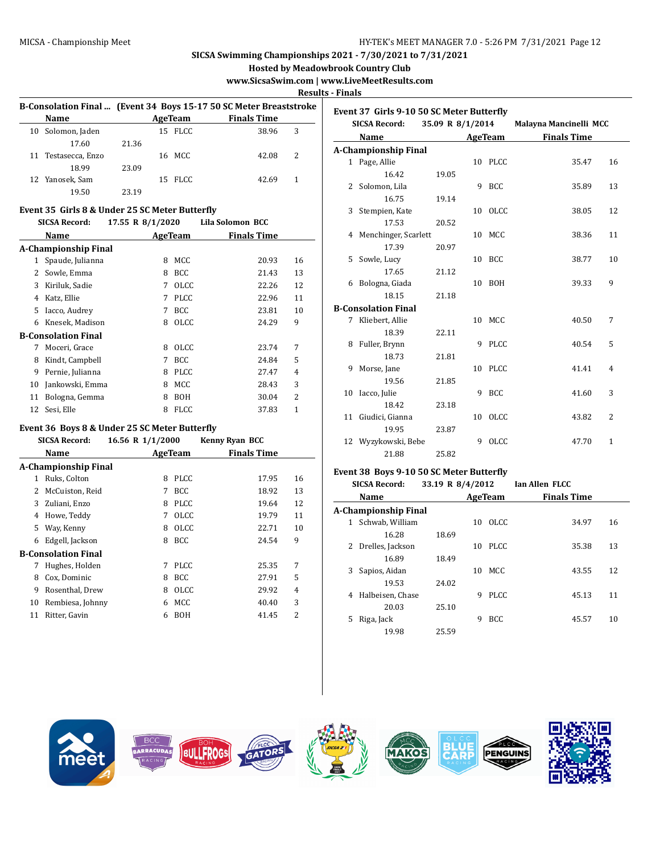**Hosted by Meadowbrook Country Club**

# **www.SicsaSwim.com | www.LiveMeetResults.com**

**Results - Finals**

| B-Consolation Final  (Event 34 Boys 15-17 50 SC Meter Breaststroke |                     |         |  |         |                    |   |
|--------------------------------------------------------------------|---------------------|---------|--|---------|--------------------|---|
|                                                                    | <b>Name</b>         | AgeTeam |  |         | <b>Finals Time</b> |   |
| 10                                                                 | Solomon, Jaden      |         |  | 15 FLCC | 38.96              | 3 |
|                                                                    | 17.60               | 21.36   |  |         |                    |   |
|                                                                    | 11 Testasecca, Enzo |         |  | 16 MCC  | 42.08              | 2 |
|                                                                    | 18.99               | 23.09   |  |         |                    |   |
|                                                                    | 12 Yanosek, Sam     |         |  | 15 FLCC | 42.69              |   |
|                                                                    | 19.50               | 23.19   |  |         |                    |   |

#### **Event 35 Girls 8 & Under 25 SC Meter Butterfly**

| <b>SICSA Record:</b> |                            | 17.55 R 8/1/2020 |             | Lila Solomon BCC   |    |
|----------------------|----------------------------|------------------|-------------|--------------------|----|
|                      | Name                       | AgeTeam          |             | <b>Finals Time</b> |    |
|                      | A-Championship Final       |                  |             |                    |    |
| 1                    | Spaude, Julianna           | 8                | <b>MCC</b>  | 20.93              | 16 |
| 2                    | Sowle, Emma                | 8                | <b>BCC</b>  | 21.43              | 13 |
| 3                    | Kiriluk, Sadie             | 7                | <b>OLCC</b> | 22.26              | 12 |
| 4                    | Katz, Ellie                | 7                | <b>PLCC</b> | 22.96              | 11 |
| 5.                   | Iacco, Audrey              | 7                | <b>BCC</b>  | 23.81              | 10 |
| 6                    | Knesek, Madison            | 8                | <b>OLCC</b> | 24.29              | 9  |
|                      | <b>B-Consolation Final</b> |                  |             |                    |    |
| 7                    | Moceri, Grace              | 8                | <b>OLCC</b> | 23.74              | 7  |
| 8                    | Kindt, Campbell            | 7                | BCC         | 24.84              | 5  |
| 9                    | Pernie, Julianna           | 8                | <b>PLCC</b> | 27.47              | 4  |
| 10                   | Jankowski, Emma            | 8                | <b>MCC</b>  | 28.43              | 3  |
| 11                   | Bologna, Gemma             | 8                | BOH         | 30.04              | 2  |
| 12                   | Sesi, Elle                 | 8                | <b>FLCC</b> | 37.83              | 1  |

# **Event 36 Boys 8 & Under 25 SC Meter Butterfly**

**SICSA Record: 16.56 R 1/1/2000 Kenny Ryan BCC**

|    | Name                        |   | AgeTeam     | <b>Finals Time</b> |    |
|----|-----------------------------|---|-------------|--------------------|----|
|    | <b>A-Championship Final</b> |   |             |                    |    |
| 1  | Ruks, Colton                | 8 | <b>PLCC</b> | 17.95              | 16 |
| 2  | McCuiston, Reid             | 7 | BCC         | 18.92              | 13 |
| 3  | Zuliani, Enzo               | 8 | <b>PLCC</b> | 19.64              | 12 |
| 4  | Howe, Teddy                 | 7 | <b>OLCC</b> | 19.79              | 11 |
| 5  | Way, Kenny                  | 8 | <b>OLCC</b> | 22.71              | 10 |
| 6  | Edgell, Jackson             | 8 | <b>BCC</b>  | 24.54              | 9  |
|    | <b>B-Consolation Final</b>  |   |             |                    |    |
| 7  | Hughes, Holden              | 7 | <b>PLCC</b> | 25.35              | 7  |
| 8  | Cox, Dominic                | 8 | BCC         | 27.91              | 5  |
| 9  | Rosenthal, Drew             | 8 | <b>OLCC</b> | 29.92              | 4  |
| 10 | Rembiesa, Johnny            | 6 | MCC         | 40.40              | 3  |
| 11 | Ritter, Gavin               | 6 | <b>BOH</b>  | 41.45              | 2  |
|    |                             |   |             |                    |    |

| Event 37 Girls 9-10 50 SC Meter Butterfly |                             |                  |   |         |                        |                |  |  |  |
|-------------------------------------------|-----------------------------|------------------|---|---------|------------------------|----------------|--|--|--|
|                                           | <b>SICSA Record:</b>        | 35.09 R 8/1/2014 |   |         | Malayna Mancinelli MCC |                |  |  |  |
|                                           | Name                        | <b>AgeTeam</b>   |   |         | <b>Finals Time</b>     |                |  |  |  |
|                                           | <b>A-Championship Final</b> |                  |   |         |                        |                |  |  |  |
|                                           | 1 Page, Allie               |                  |   | 10 PLCC | 35.47                  | 16             |  |  |  |
|                                           | 16.42                       | 19.05            |   |         |                        |                |  |  |  |
|                                           | 2 Solomon, Lila             |                  | 9 | BCC     | 35.89                  | 13             |  |  |  |
|                                           | 16.75                       | 19.14            |   |         |                        |                |  |  |  |
|                                           | 3 Stempien, Kate            |                  |   | 10 OLCC | 38.05                  | 12             |  |  |  |
|                                           | 17.53                       | 20.52            |   |         |                        |                |  |  |  |
|                                           | 4 Menchinger, Scarlett      |                  |   | 10 MCC  | 38.36                  | 11             |  |  |  |
|                                           | 17.39                       | 20.97            |   |         |                        |                |  |  |  |
|                                           | 5 Sowle, Lucy               |                  |   | 10 BCC  | 38.77                  | 10             |  |  |  |
|                                           | 17.65                       | 21.12            |   |         |                        |                |  |  |  |
|                                           | 6 Bologna, Giada            |                  |   | 10 BOH  | 39.33                  | 9              |  |  |  |
|                                           | 18.15                       | 21.18            |   |         |                        |                |  |  |  |
|                                           | <b>B-Consolation Final</b>  |                  |   |         |                        |                |  |  |  |
|                                           | 7 Kliebert, Allie           |                  |   | 10 MCC  | 40.50                  | 7              |  |  |  |
|                                           | 18.39                       | 22.11            |   |         |                        |                |  |  |  |
|                                           | 8 Fuller, Brynn             |                  | 9 | PLCC    | 40.54                  | 5              |  |  |  |
|                                           | 18.73                       | 21.81            |   |         |                        |                |  |  |  |
|                                           | 9 Morse, Jane               |                  |   | 10 PLCC | 41.41                  | 4              |  |  |  |
|                                           | 19.56                       | 21.85            |   |         |                        |                |  |  |  |
|                                           | 10 Iacco, Julie             |                  | 9 | BCC     | 41.60                  | 3              |  |  |  |
|                                           | 18.42                       | 23.18            |   |         |                        |                |  |  |  |
|                                           | 11 Giudici, Gianna          |                  |   | 10 OLCC | 43.82                  | $\overline{2}$ |  |  |  |
|                                           | 19.95                       | 23.87            |   |         |                        |                |  |  |  |
|                                           | 12 Wyzykowski, Bebe         |                  | 9 | OLCC    | 47.70                  | $\mathbf{1}$   |  |  |  |
|                                           | 21.88                       | 25.82            |   |         |                        |                |  |  |  |
|                                           |                             |                  |   |         |                        |                |  |  |  |

### **Event 38 Boys 9-10 50 SC Meter Butterfly**

| <b>SICSA Record:</b> |                      | 33.19 R 8/4/2012 |                    |             | <b>Ian Allen FLCC</b> |    |
|----------------------|----------------------|------------------|--------------------|-------------|-----------------------|----|
|                      | Name<br>AgeTeam      |                  | <b>Finals Time</b> |             |                       |    |
|                      | A-Championship Final |                  |                    |             |                       |    |
| 1                    | Schwab, William      |                  | 10                 | OLCC.       | 34.97                 | 16 |
|                      | 16.28                | 18.69            |                    |             |                       |    |
| 2                    | Drelles, Jackson     |                  | 10                 | PLCC        | 35.38                 | 13 |
|                      | 16.89                | 18.49            |                    |             |                       |    |
| 3                    | Sapios, Aidan        |                  | 10                 | MCC.        | 43.55                 | 12 |
|                      | 19.53                | 24.02            |                    |             |                       |    |
| 4                    | Halbeisen, Chase     |                  | 9                  | <b>PLCC</b> | 45.13                 | 11 |
|                      | 20.03                | 25.10            |                    |             |                       |    |
| 5                    | Riga, Jack           |                  | 9                  | <b>BCC</b>  | 45.57                 | 10 |
|                      | 19.98                | 25.59            |                    |             |                       |    |

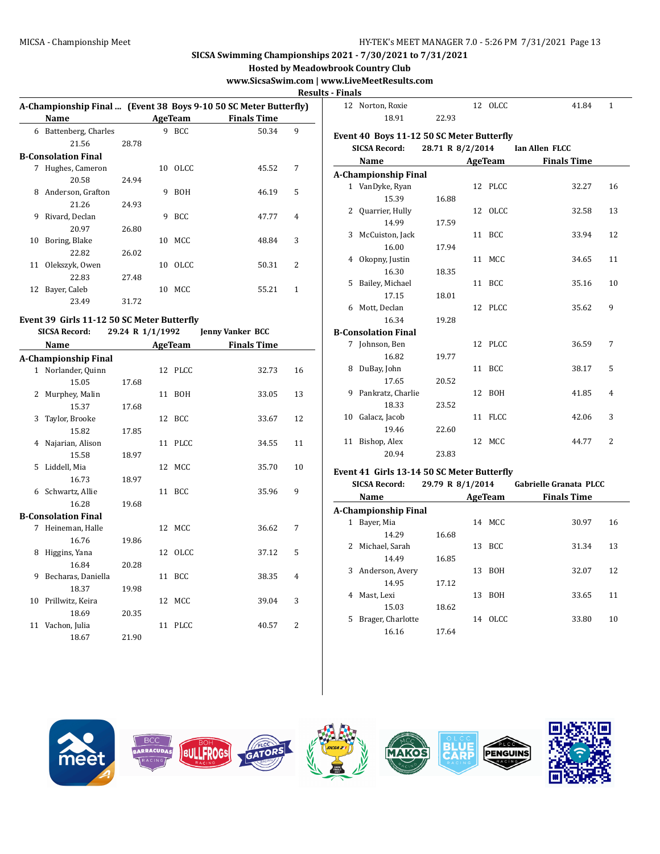### MICSA - Championship Meet HY-TEK's MEET MANAGER 7.0 - 5:26 PM 7/31/2021 Page 13

# **SICSA Swimming Championships 2021 - 7/30/2021 to 7/31/2021**

**Hosted by Meadowbrook Country Club**

# **www.SicsaSwim.com | www.LiveMeetResults.com**

**Results - I** 

|    |                            |       |    |                |                                                                  | nesu                     |
|----|----------------------------|-------|----|----------------|------------------------------------------------------------------|--------------------------|
|    |                            |       |    |                | A-Championship Final  (Event 38 Boys 9-10 50 SC Meter Butterfly) |                          |
|    | Name                       |       |    | <b>AgeTeam</b> | <b>Finals Time</b>                                               |                          |
| 6  | Battenberg, Charles        |       | 9  | <b>BCC</b>     | 50.34                                                            | 9                        |
|    | 21.56                      | 28.78 |    |                |                                                                  |                          |
|    | <b>B-Consolation Final</b> |       |    |                |                                                                  |                          |
| 7  | Hughes, Cameron            |       | 10 | - OLCC         | 45.52                                                            | 7                        |
|    | 20.58                      | 24.94 |    |                |                                                                  |                          |
| 8  | Anderson, Grafton          |       | 9  | <b>BOH</b>     | 46.19                                                            | 5                        |
|    | 21.26                      | 24.93 |    |                |                                                                  |                          |
| 9  | Rivard, Declan             |       | 9  | BCC.           | 47.77                                                            | $\overline{4}$           |
|    | 20.97                      | 26.80 |    |                |                                                                  |                          |
| 10 | Boring, Blake              |       | 10 | MCC            | 48.84                                                            | 3                        |
|    | 22.82                      | 26.02 |    |                |                                                                  |                          |
| 11 | Olekszyk, Owen             |       | 10 | OLCC           | 50.31                                                            | $\overline{\mathcal{L}}$ |
|    | 22.83                      | 27.48 |    |                |                                                                  |                          |
| 12 | Bayer, Caleb               |       | 10 | MCC            | 55.21                                                            | 1                        |
|    | 23.49                      | 31.72 |    |                |                                                                  |                          |
|    |                            |       |    |                |                                                                  |                          |

# **Event 39 Girls 11-12 50 SC Meter Butterfly**

|   | <b>SICSA Record:</b>        | 29.24 R 1/1/1992 |         | <b>Jenny Vanker BCC</b> |                |
|---|-----------------------------|------------------|---------|-------------------------|----------------|
|   | Name                        |                  | AgeTeam | <b>Finals Time</b>      |                |
|   | <b>A-Championship Final</b> |                  |         |                         |                |
|   | 1 Norlander, Quinn          |                  | 12 PLCC | 32.73                   | 16             |
|   | 15.05                       | 17.68            |         |                         |                |
| 2 | Murphey, Malin              |                  | 11 BOH  | 33.05                   | 13             |
|   | 15.37                       | 17.68            |         |                         |                |
| 3 | Taylor, Brooke              |                  | 12 BCC  | 33.67                   | 12             |
|   | 15.82                       | 17.85            |         |                         |                |
| 4 | Najarian, Alison            |                  | 11 PLCC | 34.55                   | 11             |
|   | 15.58                       | 18.97            |         |                         |                |
| 5 | Liddell, Mia                |                  | 12 MCC  | 35.70                   | 10             |
|   | 16.73                       | 18.97            |         |                         |                |
| 6 | Schwartz, Allie             |                  | 11 BCC  | 35.96                   | 9              |
|   | 16.28                       | 19.68            |         |                         |                |
|   | <b>B-Consolation Final</b>  |                  |         |                         |                |
|   | 7 Heineman, Halle           |                  | 12 MCC  | 36.62                   | 7              |
|   | 16.76                       | 19.86            |         |                         |                |
| 8 | Higgins, Yana               |                  | 12 OLCC | 37.12                   | 5              |
|   | 16.84                       | 20.28            |         |                         |                |
| 9 | Becharas, Daniella          |                  | 11 BCC  | 38.35                   | 4              |
|   | 18.37                       | 19.98            |         |                         |                |
|   | 10 Prillwitz, Keira         |                  | 12 MCC  | 39.04                   | 3              |
|   | 18.69                       | 20.35            |         |                         |                |
|   | 11 Vachon, Julia            |                  | 11 PLCC | 40.57                   | $\overline{2}$ |
|   | 18.67                       | 21.90            |         |                         |                |

| - Finals |                                                |                  |                |                               |              |
|----------|------------------------------------------------|------------------|----------------|-------------------------------|--------------|
|          | 12 Norton, Roxie                               |                  | 12 OLCC        | 41.84                         | $\mathbf{1}$ |
|          | 18.91                                          | 22.93            |                |                               |              |
|          | Event 40 Boys 11-12 50 SC Meter Butterfly      |                  |                |                               |              |
|          | <b>SICSA Record:</b>                           | 28.71 R 8/2/2014 |                | Ian Allen FLCC                |              |
|          | Name                                           |                  | AgeTeam        | <b>Finals Time</b>            |              |
|          |                                                |                  |                |                               |              |
|          | <b>A-Championship Final</b><br>1 VanDyke, Ryan |                  | 12 PLCC        | 32.27                         | 16           |
|          | 15.39                                          | 16.88            |                |                               |              |
|          | 2 Quarrier, Hully                              |                  | 12 OLCC        | 32.58                         | 13           |
|          | 14.99                                          | 17.59            |                |                               |              |
| 3        | McCuiston, Jack                                |                  | 11 BCC         | 33.94                         | 12           |
|          | 16.00                                          | 17.94            |                |                               |              |
|          | 4 Okopny, Justin                               |                  | 11 MCC         | 34.65                         | 11           |
|          | 16.30                                          | 18.35            |                |                               |              |
| 5        | Bailey, Michael                                |                  | 11 BCC         | 35.16                         | 10           |
|          | 17.15                                          | 18.01            |                |                               |              |
|          | 6 Mott, Declan                                 |                  | 12 PLCC        | 35.62                         | 9            |
|          | 16.34                                          | 19.28            |                |                               |              |
|          | <b>B-Consolation Final</b>                     |                  |                |                               |              |
|          | 7 Johnson, Ben                                 |                  | 12 PLCC        | 36.59                         | 7            |
|          | 16.82                                          | 19.77            |                |                               |              |
|          | 8 DuBay, John                                  |                  | 11 BCC         | 38.17                         | 5            |
|          | 17.65                                          | 20.52            |                |                               |              |
|          | 9 Pankratz, Charlie                            |                  | 12 BOH         | 41.85                         | 4            |
|          | 18.33                                          | 23.52            |                |                               |              |
|          | 10 Galacz, Jacob                               |                  | 11 FLCC        | 42.06                         | 3            |
|          | 19.46                                          | 22.60            |                |                               |              |
| 11       | Bishop, Alex                                   |                  | 12 MCC         | 44.77                         | 2            |
|          | 20.94                                          | 23.83            |                |                               |              |
|          | Event 41 Girls 13-14 50 SC Meter Butterfly     |                  |                |                               |              |
|          | <b>SICSA Record:</b>                           | 29.79 R 8/1/2014 |                | <b>Gabrielle Granata PLCC</b> |              |
|          | Name                                           |                  | <b>AgeTeam</b> | <b>Finals Time</b>            |              |

|    | ivalite              |       |    | дgетеаш    | rinais Thile |    |  |
|----|----------------------|-------|----|------------|--------------|----|--|
|    | A-Championship Final |       |    |            |              |    |  |
| 1  | Bayer, Mia           |       | 14 | MCC.       | 30.97        | 16 |  |
|    | 14.29                | 16.68 |    |            |              |    |  |
| 2  | Michael, Sarah       |       | 13 | <b>BCC</b> | 31.34        | 13 |  |
|    | 14.49                | 16.85 |    |            |              |    |  |
| 3  | Anderson, Avery      |       | 13 | <b>BOH</b> | 32.07        | 12 |  |
|    | 14.95                | 17.12 |    |            |              |    |  |
| 4  | Mast, Lexi           |       | 13 | <b>BOH</b> | 33.65        | 11 |  |
|    | 15.03                | 18.62 |    |            |              |    |  |
| 5. | Brager, Charlotte    |       | 14 | OLCC.      | 33.80        | 10 |  |
|    | 16.16                | 17.64 |    |            |              |    |  |

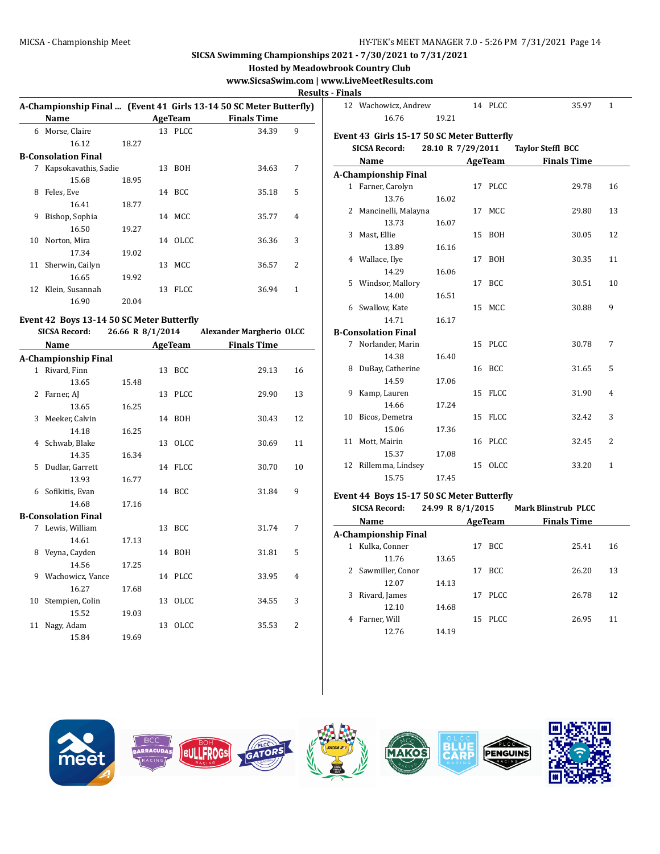### MICSA - Championship Meet **HY-TEK's MEET MANAGER 7.0 - 5:26 PM 7/31/2021** Page 14

# **SICSA Swimming Championships 2021 - 7/30/2021 to 7/31/2021**

**Hosted by Meadowbrook Country Club**

# **www.SicsaSwim.com | www.LiveMeetResults.com**

**Results -**

|    |                      |       |    |                |                                                                    | <b>Kesu</b>    |
|----|----------------------|-------|----|----------------|--------------------------------------------------------------------|----------------|
|    |                      |       |    |                | A-Championship Final  (Event 41 Girls 13-14 50 SC Meter Butterfly) |                |
|    | Name                 |       |    | <b>AgeTeam</b> | <b>Finals Time</b>                                                 |                |
| 6  | Morse, Claire        |       |    | 13 PLCC        | 34.39                                                              | 9              |
|    | 16.12                | 18.27 |    |                |                                                                    |                |
|    | B-Consolation Final  |       |    |                |                                                                    |                |
| 7  | Kapsokavathis, Sadie |       |    | 13 BOH         | 34.63                                                              | 7              |
|    | 15.68                | 18.95 |    |                |                                                                    |                |
| 8  | Feles, Eve           |       |    | 14 BCC         | 35.18                                                              | 5              |
|    | 16.41                | 18.77 |    |                |                                                                    |                |
| 9  | Bishop, Sophia       |       |    | 14 MCC         | 35.77                                                              | $\overline{4}$ |
|    | 16.50                | 19.27 |    |                |                                                                    |                |
| 10 | Norton, Mira         |       |    | 14 OLCC        | 36.36                                                              | 3              |
|    | 17.34                | 19.02 |    |                |                                                                    |                |
| 11 | Sherwin, Cailyn      |       | 13 | MCC.           | 36.57                                                              | 2              |
|    | 16.65                | 19.92 |    |                |                                                                    |                |
| 12 | Klein, Susannah      |       | 13 | <b>FLCC</b>    | 36.94                                                              | 1              |
|    | 16.90                | 20.04 |    |                |                                                                    |                |
|    |                      |       |    |                |                                                                    |                |

# **Event 42 Boys 13-14 50 SC Meter Butterfly**

|    | <b>SICSA Record:</b>        | 26.66 R 8/1/2014 |  |         | <b>Alexander Margherio OLCC</b> |                |  |
|----|-----------------------------|------------------|--|---------|---------------------------------|----------------|--|
|    | Name                        |                  |  | AgeTeam | <b>Finals Time</b>              |                |  |
|    | <b>A-Championship Final</b> |                  |  |         |                                 |                |  |
|    | 1 Rivard, Finn              |                  |  | 13 BCC  | 29.13                           | 16             |  |
|    | 13.65                       | 15.48            |  |         |                                 |                |  |
|    | 2 Farner, AJ                |                  |  | 13 PLCC | 29.90                           | 13             |  |
|    | 13.65                       | 16.25            |  |         |                                 |                |  |
|    | 3 Meeker, Calvin            |                  |  | 14 BOH  | 30.43                           | 12             |  |
|    | 14.18                       | 16.25            |  |         |                                 |                |  |
|    | 4 Schwab, Blake             |                  |  | 13 OLCC | 30.69                           | 11             |  |
|    | 14.35                       | 16.34            |  |         |                                 |                |  |
|    | 5 Dudlar, Garrett           |                  |  | 14 FLCC | 30.70                           | 10             |  |
|    | 13.93                       | 16.77            |  |         |                                 |                |  |
|    | 6 Sofikitis, Evan           |                  |  | 14 BCC  | 31.84                           | 9              |  |
|    | 14.68                       | 17.16            |  |         |                                 |                |  |
|    | <b>B-Consolation Final</b>  |                  |  |         |                                 |                |  |
|    | 7 Lewis, William            |                  |  | 13 BCC  | 31.74                           | 7              |  |
|    | 14.61                       | 17.13            |  |         |                                 |                |  |
|    | 8 Veyna, Cayden             |                  |  | 14 BOH  | 31.81                           | 5              |  |
|    | 14.56                       | 17.25            |  |         |                                 |                |  |
| 9  | Wachowicz, Vance            |                  |  | 14 PLCC | 33.95                           | 4              |  |
|    | 16.27                       | 17.68            |  |         |                                 |                |  |
| 10 | Stempien, Colin             |                  |  | 13 OLCC | 34.55                           | 3              |  |
|    | 15.52                       | 19.03            |  |         |                                 |                |  |
| 11 | Nagy, Adam                  |                  |  | 13 OLCC | 35.53                           | $\overline{2}$ |  |
|    | 15.84                       | 19.69            |  |         |                                 |                |  |

| <b>Finals</b> |                                            |                   |         |                          |    |
|---------------|--------------------------------------------|-------------------|---------|--------------------------|----|
|               | 12 Wachowicz, Andrew                       |                   | 14 PLCC | 35.97                    | 1  |
|               | 16.76                                      | 19.21             |         |                          |    |
|               | Event 43 Girls 15-17 50 SC Meter Butterfly |                   |         |                          |    |
|               | <b>SICSA Record:</b>                       | 28.10 R 7/29/2011 |         | <b>Taylor Steffl BCC</b> |    |
|               | Name                                       |                   | AgeTeam | <b>Finals Time</b>       |    |
|               | A-Championship Final                       |                   |         |                          |    |
|               | 1 Farner, Carolyn                          |                   | 17 PLCC | 29.78                    | 16 |
|               | 13.76                                      | 16.02             |         |                          |    |
| 2             | Mancinelli, Malayna                        |                   | 17 MCC  | 29.80                    | 13 |
|               | 13.73                                      | 16.07             |         |                          |    |
| 3             | Mast, Ellie                                |                   | 15 BOH  | 30.05                    | 12 |
|               | 13.89                                      | 16.16             |         |                          |    |
|               | 4 Wallace, Ilye                            |                   | 17 BOH  | 30.35                    | 11 |
|               | 14.29                                      | 16.06             |         |                          |    |
| 5.            | Windsor, Mallory                           |                   | 17 BCC  | 30.51                    | 10 |
|               | 14.00                                      | 16.51             |         |                          |    |
|               | 6 Swallow, Kate                            |                   | 15 MCC  | 30.88                    | 9  |
|               | 14.71                                      | 16.17             |         |                          |    |
|               | <b>B-Consolation Final</b>                 |                   |         |                          |    |
|               | 7 Norlander, Marin                         |                   | 15 PLCC | 30.78                    | 7  |
|               | 14.38                                      | 16.40             |         |                          |    |
| 8             | DuBay, Catherine                           |                   | 16 BCC  | 31.65                    | 5  |
|               | 14.59                                      | 17.06             |         |                          |    |
| 9             | Kamp, Lauren                               |                   | 15 FLCC | 31.90                    | 4  |
|               | 14.66                                      | 17.24             |         |                          |    |
| 10            | Bicos, Demetra                             |                   | 15 FLCC | 32.42                    | 3  |
|               | 15.06                                      | 17.36             |         |                          |    |
| 11            | Mott, Mairin                               |                   | 16 PLCC | 32.45                    | 2  |
|               | 15.37                                      | 17.08             |         |                          |    |
| 12            | Rillemma, Lindsey                          |                   | 15 OLCC | 33.20                    | 1  |
|               | 15.75                                      | 17.45             |         |                          |    |

### **Event 44 Boys 15-17 50 SC Meter Butterfly**

| <b>SICSA Record:</b> |                      | 24.99 R 8/1/2015 |         |       | <b>Mark Blinstrub PLCC</b> |    |
|----------------------|----------------------|------------------|---------|-------|----------------------------|----|
|                      | Name                 |                  | AgeTeam |       | <b>Finals Time</b>         |    |
|                      | A-Championship Final |                  |         |       |                            |    |
| 1                    | Kulka, Conner        |                  | 17      | BCC.  | 25.41                      | 16 |
|                      | 11.76                | 13.65            |         |       |                            |    |
|                      | 2 Sawmiller, Conor   |                  | 17      | BCC.  | 26.20                      | 13 |
|                      | 12.07                | 14.13            |         |       |                            |    |
| 3                    | Rivard, James        |                  | 17      | PLCC. | 26.78                      | 12 |
|                      | 12.10                | 14.68            |         |       |                            |    |
| 4                    | Farner, Will         |                  | 15      | PLCC. | 26.95                      | 11 |
|                      | 12.76                | 14.19            |         |       |                            |    |

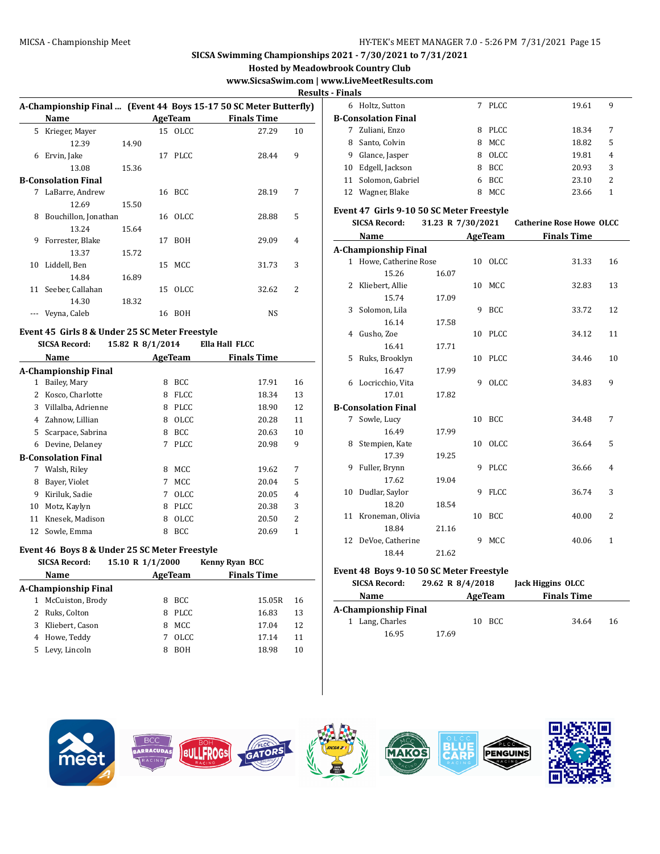**Hosted by Meadowbrook Country Club**

# **www.SicsaSwim.com | www.LiveMeetResults.com**

**Results - Finals**

|   |                                                                   |       |    |            |                    | ,,,,, |
|---|-------------------------------------------------------------------|-------|----|------------|--------------------|-------|
|   | A-Championship Final  (Event 44 Boys 15-17 50 SC Meter Butterfly) |       |    |            |                    |       |
|   | Name                                                              |       |    | AgeTeam    | <b>Finals Time</b> |       |
| 5 | Krieger, Mayer                                                    |       |    | 15 OLCC    | 27.29              | 10    |
|   | 12.39                                                             | 14.90 |    |            |                    |       |
| 6 | Ervin, Jake                                                       |       |    | 17 PLCC    | 28.44              | 9     |
|   | 13.08                                                             | 15.36 |    |            |                    |       |
|   | B-Consolation Final                                               |       |    |            |                    |       |
| 7 | LaBarre, Andrew                                                   |       |    | 16 BCC     | 28.19              | 7     |
|   | 12.69                                                             | 15.50 |    |            |                    |       |
| 8 | Bouchillon, Jonathan                                              |       |    | 16 OLCC    | 28.88              | 5     |
|   | 13.24                                                             | 15.64 |    |            |                    |       |
| 9 | Forrester, Blake                                                  |       | 17 | <b>BOH</b> | 29.09              | 4     |
|   | 13.37                                                             | 15.72 |    |            |                    |       |
|   | 10 Liddell, Ben                                                   |       |    | 15 MCC     | 31.73              | 3     |
|   | 14.84                                                             | 16.89 |    |            |                    |       |
|   | 11 Seeber, Callahan                                               |       |    | 15 OLCC    | 32.62              | 2     |
|   | 14.30                                                             | 18.32 |    |            |                    |       |
|   | Veyna, Caleb                                                      |       | 16 | BOH        | NS                 |       |
|   |                                                                   |       |    |            |                    |       |

### **Event 45 Girls 8 & Under 25 SC Meter Freestyle**

|    | <b>SICSA Record:</b>        | 15.82 R 8/1/2014 |             | Ella Hall FLCC     |    |
|----|-----------------------------|------------------|-------------|--------------------|----|
|    | Name                        |                  | AgeTeam     | <b>Finals Time</b> |    |
|    | <b>A-Championship Final</b> |                  |             |                    |    |
| 1  | Bailey, Mary                | 8                | <b>BCC</b>  | 17.91              | 16 |
| 2  | Kosco, Charlotte            | 8                | <b>FLCC</b> | 18.34              | 13 |
| 3  | Villalba, Adrienne          | 8                | <b>PLCC</b> | 18.90              | 12 |
| 4  | Zahnow, Lillian             | 8                | OLCC        | 20.28              | 11 |
| 5. | Scarpace, Sabrina           | 8                | <b>BCC</b>  | 20.63              | 10 |
| 6  | Devine, Delaney             | 7                | <b>PLCC</b> | 20.98              | 9  |
|    | <b>B-Consolation Final</b>  |                  |             |                    |    |
| 7  | Walsh, Riley                | 8                | <b>MCC</b>  | 19.62              | 7  |
| 8  | Bayer, Violet               | 7                | <b>MCC</b>  | 20.04              | 5  |
| 9  | Kiriluk, Sadie              | 7                | OLCC        | 20.05              | 4  |
| 10 | Motz, Kaylyn                | 8                | <b>PLCC</b> | 20.38              | 3  |
| 11 | Knesek, Madison             | 8                | OLCC        | 20.50              | 2  |
| 12 | Sowle, Emma                 | 8                | <b>BCC</b>  | 20.69              | 1  |

### **Event 46 Boys 8 & Under 25 SC Meter Freestyle**

|    | <b>SICSA Record:</b> | 15.10 R 1/1/2000 |             | <b>Kenny Ryan BCC</b> |                    |    |
|----|----------------------|------------------|-------------|-----------------------|--------------------|----|
|    | Name                 | AgeTeam          |             |                       | <b>Finals Time</b> |    |
|    | A-Championship Final |                  |             |                       |                    |    |
|    | McCuiston, Brody     | 8                | BCC.        |                       | 15.05R             | 16 |
|    | Ruks, Colton         | 8                | <b>PLCC</b> |                       | 16.83              | 13 |
| 3  | Kliebert, Cason      | 8                | <b>MCC</b>  |                       | 17.04              | 12 |
| 4  | Howe, Teddy          |                  | <b>OLCC</b> |                       | 17.14              | 11 |
| 5. | Levy, Lincoln        | 8                | <b>BOH</b>  |                       | 18.98              | 10 |

| гшаіэ |                     |   |             |       |   |
|-------|---------------------|---|-------------|-------|---|
| 6     | Holtz, Sutton       |   | PLCC        | 19.61 | 9 |
|       | B-Consolation Final |   |             |       |   |
| 7     | Zuliani, Enzo       | 8 | PLCC.       | 18.34 | 7 |
| 8     | Santo, Colvin       | 8 | MCC         | 18.82 | 5 |
| 9     | Glance, Jasper      | 8 | <b>OLCC</b> | 19.81 | 4 |
| 10    | Edgell, Jackson     | 8 | <b>BCC</b>  | 20.93 | 3 |
|       | 11 Solomon, Gabriel | 6 | <b>BCC</b>  | 23.10 | 2 |
| 12    | Wagner, Blake       | 8 | MCC.        | 23.66 |   |

#### **Event 47 Girls 9-10 50 SC Meter Freestyle**

| <b>SICSA Record:</b> |                             | 31.23 R 7/30/2021 |   |             | <b>Catherine Rose Howe OLCC</b> |                |  |
|----------------------|-----------------------------|-------------------|---|-------------|---------------------------------|----------------|--|
|                      | Name                        |                   |   | AgeTeam     | <b>Finals Time</b>              |                |  |
|                      | <b>A-Championship Final</b> |                   |   |             |                                 |                |  |
|                      | 1 Howe, Catherine Rose      |                   |   | 10 OLCC     | 31.33                           | 16             |  |
|                      | 15.26                       | 16.07             |   |             |                                 |                |  |
| 2                    | Kliebert, Allie             |                   |   | 10 MCC      | 32.83                           | 13             |  |
|                      | 15.74                       | 17.09             |   |             |                                 |                |  |
|                      | 3 Solomon, Lila             |                   |   | 9 BCC       | 33.72                           | 12             |  |
|                      | 16.14                       | 17.58             |   |             |                                 |                |  |
|                      | 4 Gusho, Zoe                |                   |   | 10 PLCC     | 34.12                           | 11             |  |
|                      | 16.41                       | 17.71             |   |             |                                 |                |  |
| 5.                   | Ruks, Brooklyn              |                   |   | 10 PLCC     | 34.46                           | 10             |  |
|                      | 16.47                       | 17.99             |   |             |                                 |                |  |
|                      | 6 Locricchio, Vita          |                   | 9 | OLCC        | 34.83                           | 9              |  |
|                      | 17.01                       | 17.82             |   |             |                                 |                |  |
|                      | <b>B-Consolation Final</b>  |                   |   |             |                                 |                |  |
| 7                    | Sowle, Lucy                 |                   |   | 10 BCC      | 34.48                           | 7              |  |
|                      | 16.49                       | 17.99             |   |             |                                 |                |  |
| 8                    | Stempien, Kate              |                   |   | 10 OLCC     | 36.64                           | 5              |  |
|                      | 17.39                       | 19.25             |   |             |                                 |                |  |
| 9                    | Fuller, Brynn               |                   |   | 9 PLCC      | 36.66                           | $\overline{4}$ |  |
|                      | 17.62                       | 19.04             |   |             |                                 |                |  |
| 10                   | Dudlar, Saylor              |                   | 9 | <b>FLCC</b> | 36.74                           | 3              |  |
|                      | 18.20                       | 18.54             |   |             |                                 |                |  |
|                      | 11 Kroneman, Olivia         |                   |   | 10 BCC      | 40.00                           | 2              |  |
|                      | 18.84                       | 21.16             |   |             |                                 |                |  |
| 12                   | DeVoe, Catherine            |                   | 9 | MCC         | 40.06                           | $\mathbf{1}$   |  |
|                      | 18.44                       | 21.62             |   |             |                                 |                |  |

### **Event 48 Boys 9-10 50 SC Meter Freestyle**

| <b>SICSA Record:</b> | 29.62 R 8/4/2018 |         |        | <b>Jack Higgins OLCC</b> |  |    |  |
|----------------------|------------------|---------|--------|--------------------------|--|----|--|
| Name                 |                  | AgeTeam |        | <b>Finals Time</b>       |  |    |  |
| A-Championship Final |                  |         |        |                          |  |    |  |
| 1 Lang, Charles      |                  |         | 10 BCC | 34.64                    |  | 16 |  |
| 16.95                | 17.69            |         |        |                          |  |    |  |

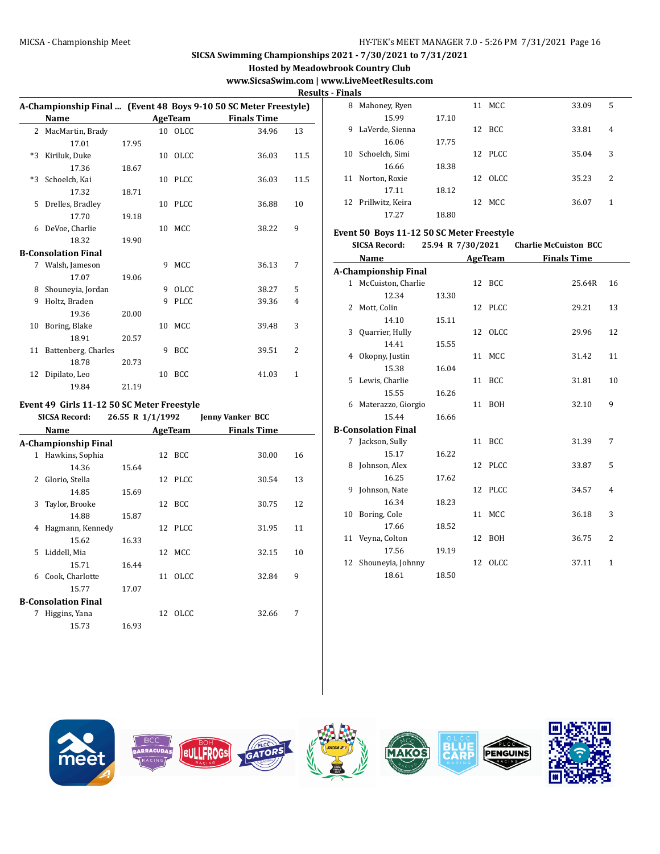**Hosted by Meadowbrook Country Club**

# **www.SicsaSwim.com | www.LiveMeetResults.com**

**Results - Finals**

|      |                                            |                  |    |             |                                                                  | 1162         |
|------|--------------------------------------------|------------------|----|-------------|------------------------------------------------------------------|--------------|
|      |                                            |                  |    |             | A-Championship Final  (Event 48 Boys 9-10 50 SC Meter Freestyle) |              |
|      | <b>Name</b>                                |                  |    | AgeTeam     | <b>Finals Time</b>                                               |              |
|      | 2 MacMartin, Brady                         |                  |    | 10 OLCC     | 34.96                                                            | 13           |
|      | 17.01                                      | 17.95            |    |             |                                                                  |              |
|      | *3 Kiriluk, Duke                           |                  |    | 10 OLCC     | 36.03                                                            | 11.5         |
|      | 17.36                                      | 18.67            |    |             |                                                                  |              |
| $*3$ | Schoelch, Kai                              |                  |    | 10 PLCC     | 36.03                                                            | 11.5         |
|      | 17.32                                      | 18.71            |    |             |                                                                  |              |
| 5    | Drelles, Bradley                           |                  |    | 10 PLCC     | 36.88                                                            | 10           |
|      | 17.70                                      | 19.18            |    |             |                                                                  |              |
| 6    | DeVoe, Charlie                             |                  | 10 | MCC         | 38.22                                                            | 9            |
|      | 18.32                                      | 19.90            |    |             |                                                                  |              |
|      | <b>B-Consolation Final</b>                 |                  |    |             |                                                                  |              |
|      | 7 Walsh, Jameson                           |                  |    | 9 MCC       | 36.13                                                            | 7            |
|      | 17.07                                      | 19.06            |    |             |                                                                  |              |
| 8    | Shouneyia, Jordan                          |                  |    | 9 OLCC      | 38.27                                                            | 5            |
| 9    | Holtz, Braden                              |                  | 9  | <b>PLCC</b> | 39.36                                                            | 4            |
|      | 19.36                                      | 20.00            |    |             |                                                                  |              |
| 10   | Boring, Blake                              |                  |    | 10 MCC      | 39.48                                                            | 3            |
|      | 18.91                                      | 20.57            |    |             |                                                                  |              |
|      | 11 Battenberg, Charles                     |                  |    | 9 BCC       | 39.51                                                            | 2            |
|      | 18.78                                      | 20.73            |    |             |                                                                  |              |
|      | 12 Dipilato, Leo                           |                  |    | 10 BCC      | 41.03                                                            | $\mathbf{1}$ |
|      | 19.84                                      | 21.19            |    |             |                                                                  |              |
|      | Event 49 Girls 11-12 50 SC Meter Freestyle |                  |    |             |                                                                  |              |
|      | <b>SICSA Record:</b>                       | 26.55 R 1/1/1992 |    |             | <b>Jenny Vanker BCC</b>                                          |              |
|      | Name                                       |                  |    | AgeTeam     | <b>Finals Time</b>                                               |              |
|      | A-Chamnionchin Final                       |                  |    |             |                                                                  |              |

|              | Name                 |       |    | <b>AgeTeam</b> | <b>Finals Time</b> |    |
|--------------|----------------------|-------|----|----------------|--------------------|----|
|              | A-Championship Final |       |    |                |                    |    |
| $\mathbf{1}$ | Hawkins, Sophia      |       |    | 12 BCC         | 30.00              | 16 |
|              | 14.36                | 15.64 |    |                |                    |    |
| 2            | Glorio, Stella       |       |    | 12 PLCC        | 30.54              | 13 |
|              | 14.85                | 15.69 |    |                |                    |    |
| 3            | Taylor, Brooke       |       |    | 12 BCC         | 30.75              | 12 |
|              | 14.88                | 15.87 |    |                |                    |    |
| 4            | Hagmann, Kennedy     |       |    | 12 PLCC        | 31.95              | 11 |
|              | 15.62                | 16.33 |    |                |                    |    |
| 5.           | Liddell, Mia         |       |    | 12 MCC         | 32.15              | 10 |
|              | 15.71                | 16.44 |    |                |                    |    |
| 6            | Cook, Charlotte      |       | 11 | <b>OLCC</b>    | 32.84              | 9  |
|              | 15.77                | 17.07 |    |                |                    |    |
|              | B-Consolation Final  |       |    |                |                    |    |
| 7            | Higgins, Yana        |       |    | 12 OLCC        | 32.66              | 7  |
|              | 15.73                | 16.93 |    |                |                    |    |
|              |                      |       |    |                |                    |    |

| 1 шаіэ |                     |       |    |         |       |   |
|--------|---------------------|-------|----|---------|-------|---|
| 8      | Mahoney, Ryen       |       |    | 11 MCC  | 33.09 | 5 |
|        | 15.99               | 17.10 |    |         |       |   |
| 9      | LaVerde, Sienna     |       | 12 | BCC     | 33.81 | 4 |
|        | 16.06               | 17.75 |    |         |       |   |
| 10     | Schoelch, Simi      |       |    | 12 PLCC | 35.04 | 3 |
|        | 16.66               | 18.38 |    |         |       |   |
| 11     | Norton, Roxie       |       | 12 | -OLCC   | 35.23 | 2 |
|        | 17.11               | 18.12 |    |         |       |   |
|        | 12 Prillwitz, Keira |       | 12 | MCC.    | 36.07 | 1 |
|        | 17.27               | 18.80 |    |         |       |   |

### **Event 50 Boys 11-12 50 SC Meter Freestyle**

**SICSA Record: 25.94 R 7/30/2021 Charlie McCuiston BCC**

|    | Name                        |       | <b>AgeTeam</b> | <b>Finals Time</b> |    |
|----|-----------------------------|-------|----------------|--------------------|----|
|    | <b>A-Championship Final</b> |       |                |                    |    |
|    | 1 McCuiston, Charlie        |       | 12 BCC         | 25.64R             | 16 |
|    | 12.34                       | 13.30 |                |                    |    |
| 2  | Mott, Colin                 |       | 12 PLCC        | 29.21              | 13 |
|    | 14.10                       | 15.11 |                |                    |    |
|    | 3 Quarrier, Hully           |       | 12 OLCC        | 29.96              | 12 |
|    | 14.41                       | 15.55 |                |                    |    |
| 4  | Okopny, Justin              |       | 11 MCC         | 31.42              | 11 |
|    | 15.38                       | 16.04 |                |                    |    |
| 5  | Lewis, Charlie              |       | 11 BCC         | 31.81              | 10 |
|    | 15.55                       | 16.26 |                |                    |    |
| 6  | Materazzo, Giorgio          |       | 11 BOH         | 32.10              | 9  |
|    | 15.44                       | 16.66 |                |                    |    |
|    | <b>B-Consolation Final</b>  |       |                |                    |    |
|    | 7 Jackson, Sully            |       | 11 BCC         | 31.39              | 7  |
|    | 15.17                       | 16.22 |                |                    |    |
|    | 8 Johnson, Alex             |       | 12 PLCC        | 33.87              | 5  |
|    | 16.25                       | 17.62 |                |                    |    |
|    | 9 Johnson, Nate             |       | 12 PLCC        | 34.57              | 4  |
|    | 16.34                       | 18.23 |                |                    |    |
|    | 10 Boring, Cole             |       | 11 MCC         | 36.18              | 3  |
|    | 17.66                       | 18.52 |                |                    |    |
|    | 11 Veyna, Colton            |       | 12 BOH         | 36.75              | 2  |
|    | 17.56                       | 19.19 |                |                    |    |
| 12 | Shouneyia, Johnny           |       | 12 OLCC        | 37.11              | 1  |
|    | 18.61                       | 18.50 |                |                    |    |

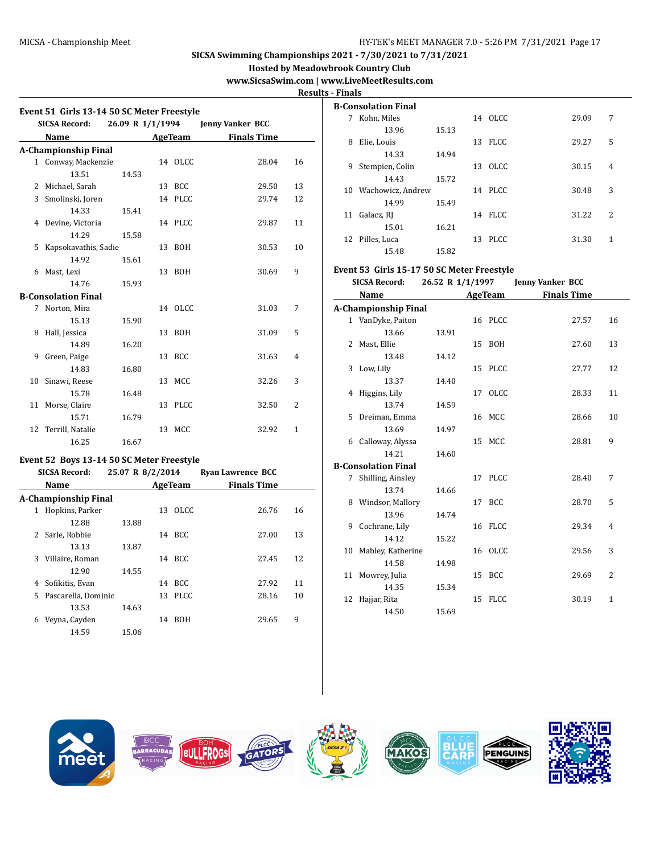**Hosted by Meadowbrook Country Club**

# **www.SicsaSwim.com | www.LiveMeetResults.com**

**Results - Finals**

ŀ,

|              | Event 51 Girls 13-14 50 SC Meter Freestyle |                  |    |                |                          |                |
|--------------|--------------------------------------------|------------------|----|----------------|--------------------------|----------------|
|              | <b>SICSA Record:</b>                       | 26.09 R 1/1/1994 |    |                | <b>Jenny Vanker BCC</b>  |                |
|              | Name                                       |                  |    | AgeTeam        | <b>Finals Time</b>       |                |
|              | <b>A-Championship Final</b>                |                  |    |                |                          |                |
| 1            | Conway, Mackenzie                          |                  |    | 14 OLCC        | 28.04                    | 16             |
|              | 13.51                                      | 14.53            |    |                |                          |                |
|              | 2 Michael, Sarah                           |                  | 13 | BCC            | 29.50                    | 13             |
| 3            | Smolinski, Joren                           |                  | 14 | PLCC           | 29.74                    | 12             |
|              | 14.33                                      | 15.41            |    |                |                          |                |
| 4            | Devine, Victoria                           |                  | 14 | <b>PLCC</b>    | 29.87                    | 11             |
|              | 14.29                                      | 15.58            |    |                |                          |                |
| 5            | Kapsokavathis, Sadie                       |                  | 13 | <b>BOH</b>     | 30.53                    | 10             |
|              | 14.92                                      | 15.61            |    |                |                          |                |
| 6            | Mast, Lexi                                 |                  | 13 | <b>BOH</b>     | 30.69                    | 9              |
|              | 14.76                                      | 15.93            |    |                |                          |                |
|              | <b>B-Consolation Final</b>                 |                  |    |                |                          |                |
| 7            | Norton, Mira                               |                  |    | 14 OLCC        | 31.03                    | 7              |
|              | 15.13                                      | 15.90            |    |                |                          |                |
| 8            | Hall, Jessica                              |                  | 13 | BOH            | 31.09                    | 5              |
|              | 14.89                                      | 16.20            |    |                |                          |                |
| 9            | Green, Paige                               |                  | 13 | <b>BCC</b>     | 31.63                    | 4              |
|              | 14.83                                      | 16.80            |    |                |                          |                |
| 10           | Sinawi, Reese                              |                  | 13 | MCC            | 32.26                    | 3              |
|              | 15.78                                      | 16.48            |    |                |                          |                |
| 11           | Morse, Claire                              |                  | 13 | <b>PLCC</b>    | 32.50                    | $\overline{2}$ |
|              | 15.71                                      | 16.79            |    |                |                          |                |
| 12           | Terrill, Natalie                           |                  | 13 | MCC            | 32.92                    | 1              |
|              | 16.25                                      | 16.67            |    |                |                          |                |
|              | Event 52 Boys 13-14 50 SC Meter Freestyle  |                  |    |                |                          |                |
|              | <b>SICSA Record:</b>                       | 25.07 R 8/2/2014 |    |                | <b>Ryan Lawrence BCC</b> |                |
|              | Name                                       |                  |    | <b>AgeTeam</b> | <b>Finals Time</b>       |                |
|              | <b>A-Championship Final</b>                |                  |    |                |                          |                |
| $\mathbf{1}$ | Hopkins, Parker                            |                  | 13 | <b>OLCC</b>    | 26.76                    | 16             |
|              | 12.88                                      | 13.88            |    |                |                          |                |
| 2            | Sarle, Robbie                              |                  | 14 | BCC            | 27.00                    | 13             |
|              | 13.13                                      | 13.87            |    |                |                          |                |
| 3            | Villaire, Roman                            |                  | 14 | BCC            | 27.45                    | 12             |
|              | 12.90                                      | 14.55            |    |                |                          |                |
|              | 4 Sofikitis, Evan                          |                  |    | 14 BCC         | 27.92                    | 11             |
| 5            | Pascarella, Dominic                        |                  | 13 | <b>PLCC</b>    | 28.16                    | 10             |
|              | 13.53                                      | 14.63            |    |                |                          |                |
| 6            | Veyna, Cayden                              |                  | 14 | <b>BOH</b>     | 29.65                    | 9              |
|              | 14.59                                      | 15.06            |    |                |                          |                |

| .  |                     |       |    |             |       |   |
|----|---------------------|-------|----|-------------|-------|---|
|    | B-Consolation Final |       |    |             |       |   |
| 7  | Kohn, Miles         |       |    | 14 OLCC     | 29.09 | 7 |
|    | 13.96               | 15.13 |    |             |       |   |
| 8  | Elie, Louis         |       | 13 | <b>FLCC</b> | 29.27 | 5 |
|    | 14.33               | 14.94 |    |             |       |   |
| 9  | Stempien, Colin     |       | 13 | OLCC.       | 30.15 | 4 |
|    | 14.43               | 15.72 |    |             |       |   |
| 10 | Wachowicz, Andrew   |       |    | 14 PLCC     | 30.48 | 3 |
|    | 14.99               | 15.49 |    |             |       |   |
| 11 | Galacz, RJ          |       |    | 14 FLCC     | 31.22 | 2 |
|    | 15.01               | 16.21 |    |             |       |   |
| 12 | Pilles, Luca        |       | 13 | PLCC.       | 31.30 | 1 |
|    | 15.48               | 15.82 |    |             |       |   |

### **Event 53 Girls 15-17 50 SC Meter Freestyle**

**SICSA Record: 26.52 R 1/1/1997 Jenny Vanker BCC**

|    | Name                       |       | AgeTeam | <b>Finals Time</b> |              |
|----|----------------------------|-------|---------|--------------------|--------------|
|    | A-Championship Final       |       |         |                    |              |
|    | 1 VanDyke, Paiton          |       | 16 PLCC | 27.57              | 16           |
|    | 13.66                      | 13.91 |         |                    |              |
|    | 2 Mast, Ellie              |       | 15 BOH  | 27.60              | 13           |
|    | 13.48                      | 14.12 |         |                    |              |
| 3  | Low, Lily                  |       | 15 PLCC | 27.77              | 12           |
|    | 13.37                      | 14.40 |         |                    |              |
| 4  | Higgins, Lily              |       | 17 OLCC | 28.33              | 11           |
|    | 13.74                      | 14.59 |         |                    |              |
| 5  | Dreiman, Emma              |       | 16 MCC  | 28.66              | 10           |
|    | 13.69                      | 14.97 |         |                    |              |
|    | 6 Calloway, Alyssa         |       | 15 MCC  | 28.81              | 9            |
|    | 14.21                      | 14.60 |         |                    |              |
|    | <b>B-Consolation Final</b> |       |         |                    |              |
|    | 7 Shilling, Ainsley        |       | 17 PLCC | 28.40              | 7            |
|    | 13.74                      | 14.66 |         |                    |              |
| 8  | Windsor, Mallory           |       | 17 BCC  | 28.70              | 5            |
|    | 13.96                      | 14.74 |         |                    |              |
| 9  | Cochrane, Lily             |       | 16 FLCC | 29.34              | 4            |
|    | 14.12                      | 15.22 |         |                    |              |
| 10 | Mabley, Katherine          |       | 16 OLCC | 29.56              | 3            |
|    | 14.58                      | 14.98 |         |                    |              |
| 11 | Mowrey, Julia              |       | 15 BCC  | 29.69              | 2            |
|    | 14.35                      | 15.34 |         |                    |              |
| 12 | Hajjar, Rita               |       | 15 FLCC | 30.19              | $\mathbf{1}$ |
|    | 14.50                      | 15.69 |         |                    |              |

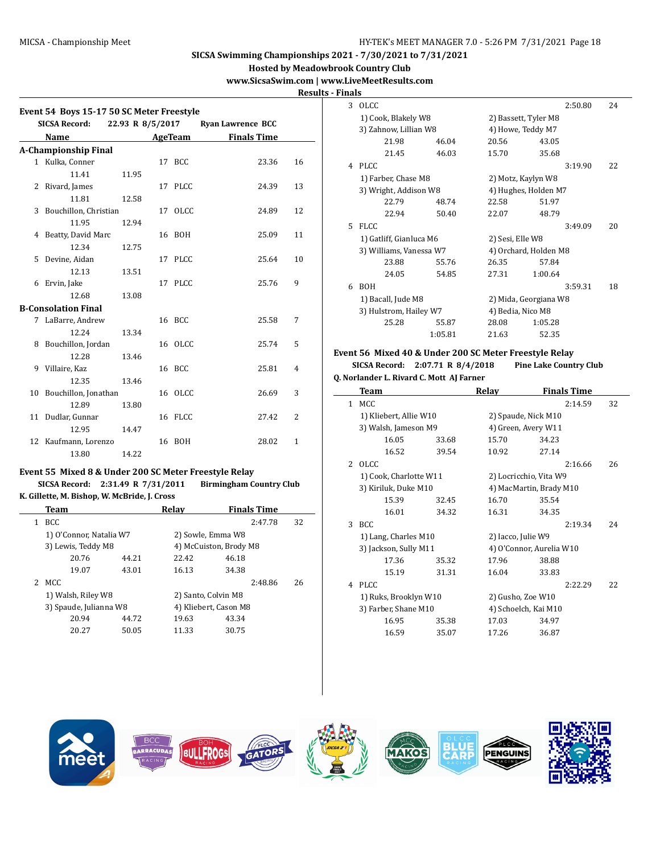**Hosted by Meadowbrook Country Club**

# **www.SicsaSwim.com | www.LiveMeetResults.com**

 $\overline{a}$ 

**Results - Finals**

| <b>Finals Time</b><br>23.36<br>24.39<br>24.89<br>25.09<br>25.64<br>25.76 | 16<br>13<br>12<br>11<br>10<br>9 |
|--------------------------------------------------------------------------|---------------------------------|
|                                                                          |                                 |
|                                                                          |                                 |
|                                                                          |                                 |
|                                                                          |                                 |
|                                                                          |                                 |
|                                                                          |                                 |
|                                                                          |                                 |
|                                                                          |                                 |
|                                                                          |                                 |
|                                                                          |                                 |
|                                                                          |                                 |
|                                                                          |                                 |
|                                                                          |                                 |
|                                                                          |                                 |
|                                                                          |                                 |
| 25.58                                                                    | 7                               |
|                                                                          |                                 |
| 25.74                                                                    | 5                               |
|                                                                          |                                 |
| 25.81                                                                    | $\overline{4}$                  |
|                                                                          |                                 |
| 26.69                                                                    | 3                               |
|                                                                          |                                 |
| 27.42                                                                    | $\overline{2}$                  |
|                                                                          |                                 |
|                                                                          | $\mathbf{1}$                    |
| 28.02                                                                    |                                 |
|                                                                          |                                 |

### **Event 55 Mixed 8 & Under 200 SC Meter Freestyle Relay**

**SICSA Record: 2:31.49 R 7/31/2011 Birmingham Country Club K. Gillette, M. Bishop, W. McBride, J. Cross**

|    | <b>Team</b>             |       | Relav                  |       | <b>Finals Time</b> |    |
|----|-------------------------|-------|------------------------|-------|--------------------|----|
| 1. | BCC.                    |       |                        |       | 2:47.78            | 32 |
|    | 1) O'Connor, Natalia W7 |       | 2) Sowle, Emma W8      |       |                    |    |
|    | 3) Lewis, Teddy M8      |       | 4) McCuiston, Brody M8 |       |                    |    |
|    | 20.76                   | 44.21 | 22.42                  | 46.18 |                    |    |
|    | 19.07                   | 43.01 | 16.13                  | 34.38 |                    |    |
|    | MCC.                    |       |                        |       | 2:48.86            | 26 |
|    | 1) Walsh, Riley W8      |       | 2) Santo, Colvin M8    |       |                    |    |
|    | 3) Spaude, Julianna W8  |       | 4) Kliebert, Cason M8  |       |                    |    |
|    | 20.94                   | 44.72 | 19.63                  | 43.34 |                    |    |
|    | 20.27                   | 50.05 | 11.33                  | 30.75 |                    |    |
|    |                         |       |                        |       |                    |    |

| nais |                         |         |                   |                       |    |
|------|-------------------------|---------|-------------------|-----------------------|----|
| 3    | OLCC                    |         |                   | 2:50.80               | 24 |
|      | 1) Cook, Blakely W8     |         |                   | 2) Bassett, Tyler M8  |    |
|      | 3) Zahnow, Lillian W8   |         |                   | 4) Howe, Teddy M7     |    |
|      | 21.98                   | 46.04   | 20.56             | 43.05                 |    |
|      | 21.45                   | 46.03   | 15.70             | 35.68                 |    |
| 4    | PLCC.                   |         |                   | 3:19.90               | 22 |
|      | 1) Farber, Chase M8     |         |                   | 2) Motz, Kaylyn W8    |    |
|      | 3) Wright, Addison W8   |         |                   | 4) Hughes, Holden M7  |    |
|      | 22.79                   | 48.74   | 22.58             | 51.97                 |    |
|      | 22.94                   | 50.40   | 22.07             | 48.79                 |    |
| 5    | <b>FLCC</b>             |         |                   | 3:49.09               | 20 |
|      | 1) Gatliff, Gianluca M6 |         | 2) Sesi, Elle W8  |                       |    |
|      | 3) Williams, Vanessa W7 |         |                   | 4) Orchard, Holden M8 |    |
|      | 23.88                   | 55.76   | 26.35             | 57.84                 |    |
|      | 24.05                   | 54.85   | 27.31             | 1:00.64               |    |
| 6    | <b>BOH</b>              |         |                   | 3:59.31               | 18 |
|      | 1) Bacall, Jude M8      |         |                   | 2) Mida, Georgiana W8 |    |
|      | 3) Hulstrom, Hailey W7  |         | 4) Bedia, Nico M8 |                       |    |
|      | 25.28                   | 55.87   | 28.08             | 1:05.28               |    |
|      |                         | 1:05.81 | 21.63             | 52.35                 |    |
|      |                         |         |                   |                       |    |

# **Event 56 Mixed 40 & Under 200 SC Meter Freestyle Relay**

**SICSA Record: 2:07.71 R 8/4/2018 Pine Lake Country Club Q. Norlander L. Rivard C. Mott AJ Farner**

| Team  |                      |                                                                                                                                                                            |       |                                                                                                               |                                                                                                     |
|-------|----------------------|----------------------------------------------------------------------------------------------------------------------------------------------------------------------------|-------|---------------------------------------------------------------------------------------------------------------|-----------------------------------------------------------------------------------------------------|
| MCC.  |                      |                                                                                                                                                                            |       | 2:14.59                                                                                                       | 32                                                                                                  |
|       |                      |                                                                                                                                                                            |       |                                                                                                               |                                                                                                     |
|       |                      |                                                                                                                                                                            |       |                                                                                                               |                                                                                                     |
| 16.05 | 33.68                | 15.70                                                                                                                                                                      | 34.23 |                                                                                                               |                                                                                                     |
| 16.52 | 39.54                | 10.92                                                                                                                                                                      | 27.14 |                                                                                                               |                                                                                                     |
| OLCC. |                      |                                                                                                                                                                            |       | 2:16.66                                                                                                       | 26                                                                                                  |
|       |                      |                                                                                                                                                                            |       |                                                                                                               |                                                                                                     |
|       |                      |                                                                                                                                                                            |       |                                                                                                               |                                                                                                     |
| 15.39 | 32.45                | 16.70                                                                                                                                                                      | 35.54 |                                                                                                               |                                                                                                     |
| 16.01 | 34.32                | 16.31                                                                                                                                                                      | 34.35 |                                                                                                               |                                                                                                     |
| BCC   |                      |                                                                                                                                                                            |       | 2:19.34                                                                                                       | 24                                                                                                  |
|       |                      |                                                                                                                                                                            |       |                                                                                                               |                                                                                                     |
|       |                      |                                                                                                                                                                            |       |                                                                                                               |                                                                                                     |
| 17.36 | 35.32                | 17.96                                                                                                                                                                      | 38.88 |                                                                                                               |                                                                                                     |
| 15.19 | 31.31                | 16.04                                                                                                                                                                      | 33.83 |                                                                                                               |                                                                                                     |
| PLCC  |                      |                                                                                                                                                                            |       | 2:22.29                                                                                                       | 22                                                                                                  |
|       |                      |                                                                                                                                                                            |       |                                                                                                               |                                                                                                     |
|       |                      |                                                                                                                                                                            |       |                                                                                                               |                                                                                                     |
| 16.95 | 35.38                | 17.03                                                                                                                                                                      | 34.97 |                                                                                                               |                                                                                                     |
| 16.59 | 35.07                | 17.26                                                                                                                                                                      | 36.87 |                                                                                                               |                                                                                                     |
|       | 3) Kiriluk, Duke M10 | 1) Kliebert, Allie W10<br>3) Walsh, Jameson M9<br>1) Cook, Charlotte W11<br>1) Lang, Charles M10<br>3) Jackson, Sully M11<br>1) Ruks, Brooklyn W10<br>3) Farber, Shane M10 | Relay | 2) Spaude, Nick M10<br>4) Green, Avery W11<br>2) Iacco, Julie W9<br>2) Gusho, Zoe W10<br>4) Schoelch, Kai M10 | <b>Finals Time</b><br>2) Locricchio, Vita W9<br>4) MacMartin, Brady M10<br>4) O'Connor, Aurelia W10 |

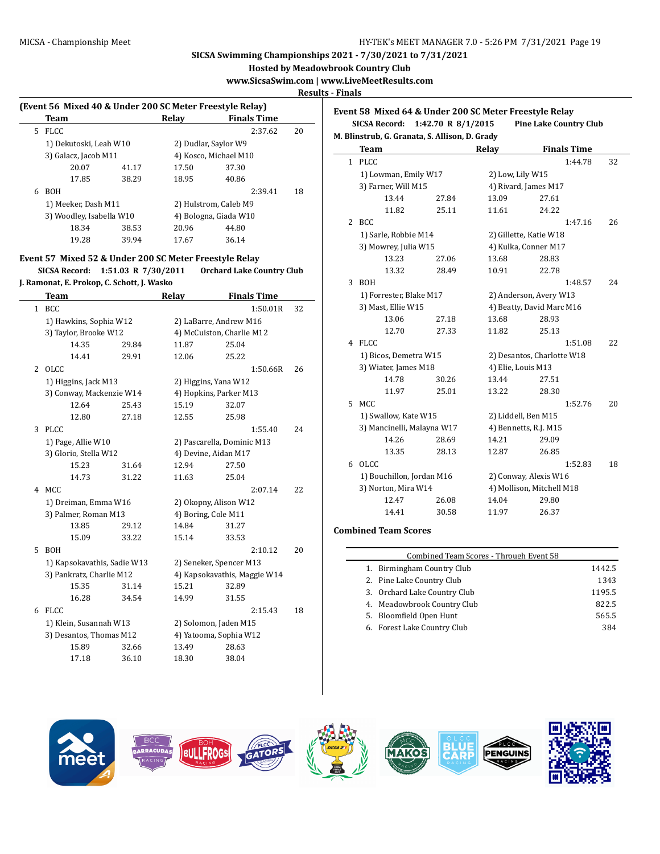**Hosted by Meadowbrook Country Club**

**www.SicsaSwim.com | www.LiveMeetResults.com**

**Results - Finals**

|    | (Event 56 Mixed 40 & Under 200 SC Meter Freestyle Relay) |       |       |                       |    |
|----|----------------------------------------------------------|-------|-------|-----------------------|----|
|    | Team                                                     |       | Relav | <b>Finals Time</b>    |    |
| 5. | <b>FLCC</b>                                              |       |       | 2:37.62               | 20 |
|    | 1) Dekutoski, Leah W10                                   |       |       | 2) Dudlar, Saylor W9  |    |
|    | 3) Galacz, Jacob M11                                     |       |       | 4) Kosco, Michael M10 |    |
|    | 20.07                                                    | 41.17 | 17.50 | 37.30                 |    |
|    | 17.85                                                    | 38.29 | 18.95 | 40.86                 |    |
| 6  | <b>BOH</b>                                               |       |       | 2:39.41               | 18 |
|    | 1) Meeker, Dash M11                                      |       |       | 2) Hulstrom, Caleb M9 |    |
|    | 3) Woodley, Isabella W10                                 |       |       | 4) Bologna, Giada W10 |    |
|    | 18.34                                                    | 38.53 | 20.96 | 44.80                 |    |
|    | 19.28                                                    | 39.94 | 17.67 | 36.14                 |    |
|    |                                                          |       |       |                       |    |

### **Event 57 Mixed 52 & Under 200 SC Meter Freestyle Relay**

**SICSA Record: 1:51.03 R 7/30/2011 Orchard Lake Country Club J. Ramonat, E. Prokop, C. Schott, J. Wasko Team Relay Finals Time**

|              | rcam                        |       | менау                        |       | тицатэ типе |    |
|--------------|-----------------------------|-------|------------------------------|-------|-------------|----|
| $\mathbf{1}$ | <b>BCC</b>                  |       |                              |       | 1:50.01R    | 32 |
|              | 1) Hawkins, Sophia W12      |       | 2) LaBarre, Andrew M16       |       |             |    |
|              | 3) Taylor, Brooke W12       |       | 4) McCuiston, Charlie M12    |       |             |    |
|              | 14.35                       | 29.84 | 11.87                        | 25.04 |             |    |
|              | 14.41                       | 29.91 | 12.06                        | 25.22 |             |    |
| 2            | <b>OLCC</b>                 |       |                              |       | 1:50.66R    | 26 |
|              | 1) Higgins, Jack M13        |       | 2) Higgins, Yana W12         |       |             |    |
|              | 3) Conway, Mackenzie W14    |       | 4) Hopkins, Parker M13       |       |             |    |
|              | 12.64                       | 25.43 | 15.19                        | 32.07 |             |    |
|              | 12.80                       | 27.18 | 12.55                        | 25.98 |             |    |
| 3            | <b>PLCC</b>                 |       |                              |       | 1:55.40     | 24 |
|              | 1) Page, Allie W10          |       | 2) Pascarella, Dominic M13   |       |             |    |
|              | 3) Glorio, Stella W12       |       | 4) Devine, Aidan M17         |       |             |    |
|              | 15.23                       | 31.64 | 12.94                        | 27.50 |             |    |
|              | 14.73                       | 31.22 | 11.63                        | 25.04 |             |    |
| 4            | MCC                         |       |                              |       | 2:07.14     | 22 |
|              | 1) Dreiman, Emma W16        |       | 2) Okopny, Alison W12        |       |             |    |
|              | 3) Palmer, Roman M13        |       | 4) Boring, Cole M11          |       |             |    |
|              | 13.85                       | 29.12 | 14.84                        | 31.27 |             |    |
|              | 15.09                       | 33.22 | 15.14                        | 33.53 |             |    |
| 5            | <b>BOH</b>                  |       |                              |       | 2:10.12     | 20 |
|              | 1) Kapsokavathis, Sadie W13 |       | 2) Seneker, Spencer M13      |       |             |    |
|              | 3) Pankratz, Charlie M12    |       | 4) Kapsokavathis, Maggie W14 |       |             |    |
|              | 15.35                       | 31.14 | 15.21                        | 32.89 |             |    |
|              | 16.28                       | 34.54 | 14.99                        | 31.55 |             |    |
| 6            | <b>FLCC</b>                 |       |                              |       | 2:15.43     | 18 |
|              | 1) Klein, Susannah W13      |       | 2) Solomon, Jaden M15        |       |             |    |
|              | 3) Desantos, Thomas M12     |       | 4) Yatooma, Sophia W12       |       |             |    |
|              | 15.89                       | 32.66 | 13.49                        | 28.63 |             |    |
|              | 17.18                       | 36.10 | 18.30                        | 38.04 |             |    |

|   | Event 58 Mixed 64 & Under 200 SC Meter Freestyle Relay        |                    |                            |                               |    |  |
|---|---------------------------------------------------------------|--------------------|----------------------------|-------------------------------|----|--|
|   | <b>SICSA Record:</b>                                          | 1:42.70 R 8/1/2015 |                            | <b>Pine Lake Country Club</b> |    |  |
|   | M. Blinstrub, G. Granata, S. Allison, D. Grady<br><b>Team</b> |                    | Relay                      | <b>Finals Time</b>            |    |  |
| 1 | <b>PLCC</b>                                                   |                    |                            | 1:44.78                       | 32 |  |
|   | 1) Lowman, Emily W17                                          |                    | 2) Low, Lily W15           |                               |    |  |
|   | 3) Farner, Will M15                                           |                    | 4) Rivard, James M17       |                               |    |  |
|   | 13.44                                                         | 27.84              | 13.09                      | 27.61                         |    |  |
|   | 11.82                                                         | 25.11              | 11.61                      | 24.22                         |    |  |
| 2 | <b>BCC</b>                                                    |                    |                            | 1:47.16                       | 26 |  |
|   | 1) Sarle, Robbie M14                                          |                    | 2) Gillette, Katie W18     |                               |    |  |
|   | 3) Mowrey, Julia W15                                          |                    |                            | 4) Kulka, Conner M17          |    |  |
|   | 13.23                                                         | 27.06              | 13.68                      | 28.83                         |    |  |
|   | 13.32                                                         | 28.49              | 10.91                      | 22.78                         |    |  |
| 3 | <b>BOH</b>                                                    |                    |                            | 1:48.57                       | 24 |  |
|   | 1) Forrester, Blake M17                                       |                    |                            | 2) Anderson, Avery W13        |    |  |
|   | 3) Mast, Ellie W15                                            |                    | 4) Beatty, David Marc M16  |                               |    |  |
|   | 13.06                                                         | 27.18              | 13.68                      | 28.93                         |    |  |
|   | 12.70                                                         | 27.33              | 11.82                      | 25.13                         |    |  |
| 4 | <b>FLCC</b>                                                   |                    |                            | 1:51.08                       | 22 |  |
|   | 1) Bicos, Demetra W15                                         |                    | 2) Desantos, Charlotte W18 |                               |    |  |
|   | 3) Wiater, James M18                                          |                    |                            | 4) Elie, Louis M13            |    |  |
|   | 14.78                                                         | 30.26              | 13.44                      | 27.51                         |    |  |
|   | 11.97                                                         | 25.01              | 13.22                      | 28.30                         |    |  |
| 5 | <b>MCC</b>                                                    |                    |                            | 1:52.76                       | 20 |  |
|   | 1) Swallow, Kate W15                                          |                    |                            | 2) Liddell, Ben M15           |    |  |
|   | 3) Mancinelli, Malayna W17                                    |                    |                            | 4) Bennetts, R.J. M15         |    |  |
|   | 14.26                                                         | 28.69              | 14.21                      | 29.09                         |    |  |
|   | 13.35                                                         | 28.13              | 12.87                      | 26.85                         |    |  |
| 6 | OLCC                                                          |                    |                            | 1:52.83                       | 18 |  |
|   | 1) Bouchillon, Jordan M16                                     |                    |                            | 2) Conway, Alexis W16         |    |  |
|   | 3) Norton, Mira W14                                           |                    |                            | 4) Mollison, Mitchell M18     |    |  |
|   | 12.47                                                         | 26.08              | 14.04                      | 29.80                         |    |  |
|   | 14.41                                                         | 30.58              | 11.97                      | 26.37                         |    |  |
|   |                                                               |                    |                            |                               |    |  |

#### **Combined Team Scores**

| Combined Team Scores - Through Event 58 |        |  |  |  |
|-----------------------------------------|--------|--|--|--|
| 1. Birmingham Country Club              | 1442.5 |  |  |  |
| 2. Pine Lake Country Club               | 1343   |  |  |  |
| 3. Orchard Lake Country Club            | 1195.5 |  |  |  |
| 4. Meadowbrook Country Club             | 822.5  |  |  |  |
| Bloomfield Open Hunt<br>5.              | 565.5  |  |  |  |
| 6. Forest Lake Country Club             | 384    |  |  |  |